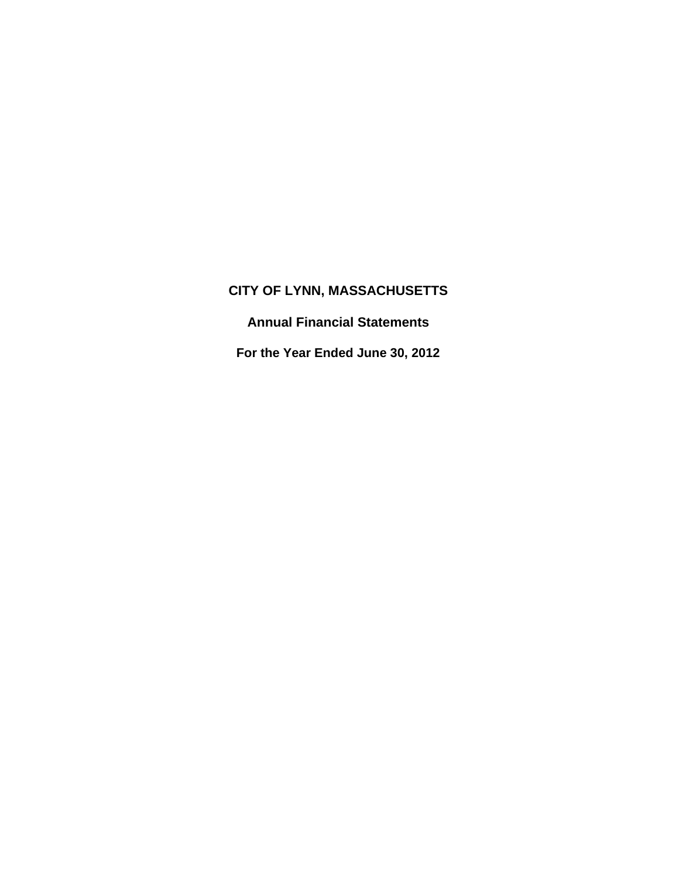**Annual Financial Statements** 

**For the Year Ended June 30, 2012**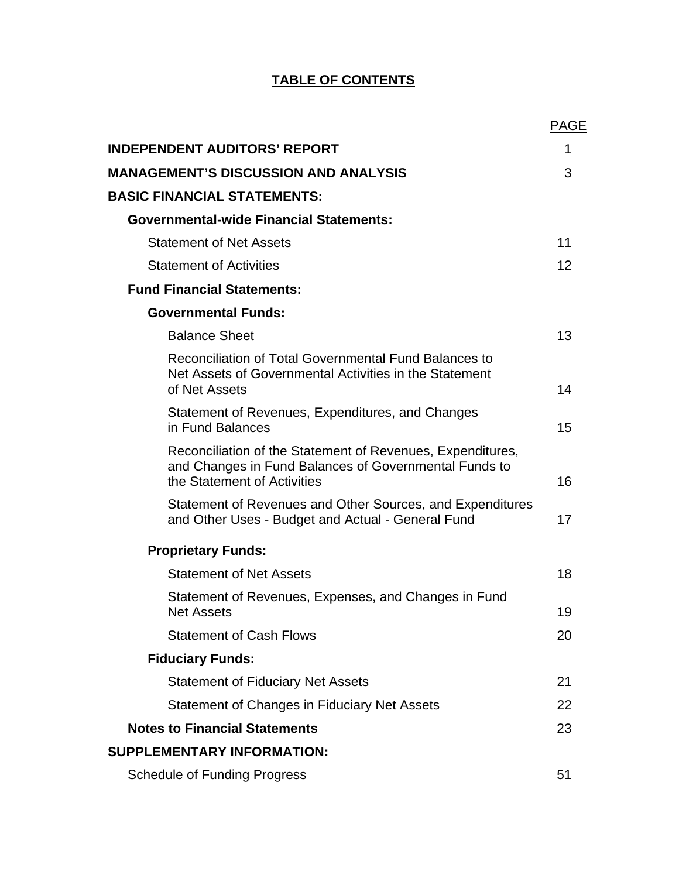# **TABLE OF CONTENTS**

|                                                                                                                                                    | <b>PAGE</b> |
|----------------------------------------------------------------------------------------------------------------------------------------------------|-------------|
| <b>INDEPENDENT AUDITORS' REPORT</b>                                                                                                                | 1           |
| <b>MANAGEMENT'S DISCUSSION AND ANALYSIS</b>                                                                                                        | 3           |
| <b>BASIC FINANCIAL STATEMENTS:</b>                                                                                                                 |             |
| <b>Governmental-wide Financial Statements:</b>                                                                                                     |             |
| <b>Statement of Net Assets</b>                                                                                                                     | 11          |
| <b>Statement of Activities</b>                                                                                                                     | 12          |
| <b>Fund Financial Statements:</b>                                                                                                                  |             |
| <b>Governmental Funds:</b>                                                                                                                         |             |
| <b>Balance Sheet</b>                                                                                                                               | 13          |
| Reconciliation of Total Governmental Fund Balances to<br>Net Assets of Governmental Activities in the Statement<br>of Net Assets                   | 14          |
| Statement of Revenues, Expenditures, and Changes<br>in Fund Balances                                                                               | 15          |
| Reconciliation of the Statement of Revenues, Expenditures,<br>and Changes in Fund Balances of Governmental Funds to<br>the Statement of Activities | 16          |
| Statement of Revenues and Other Sources, and Expenditures<br>and Other Uses - Budget and Actual - General Fund                                     | 17          |
| <b>Proprietary Funds:</b>                                                                                                                          |             |
| <b>Statement of Net Assets</b>                                                                                                                     | 18          |
| Statement of Revenues, Expenses, and Changes in Fund<br><b>Net Assets</b>                                                                          | 19          |
| <b>Statement of Cash Flows</b>                                                                                                                     | 20          |
| <b>Fiduciary Funds:</b>                                                                                                                            |             |
| <b>Statement of Fiduciary Net Assets</b>                                                                                                           | 21          |
| Statement of Changes in Fiduciary Net Assets                                                                                                       | 22          |
| <b>Notes to Financial Statements</b>                                                                                                               | 23          |
| <b>SUPPLEMENTARY INFORMATION:</b>                                                                                                                  |             |
| <b>Schedule of Funding Progress</b>                                                                                                                | 51          |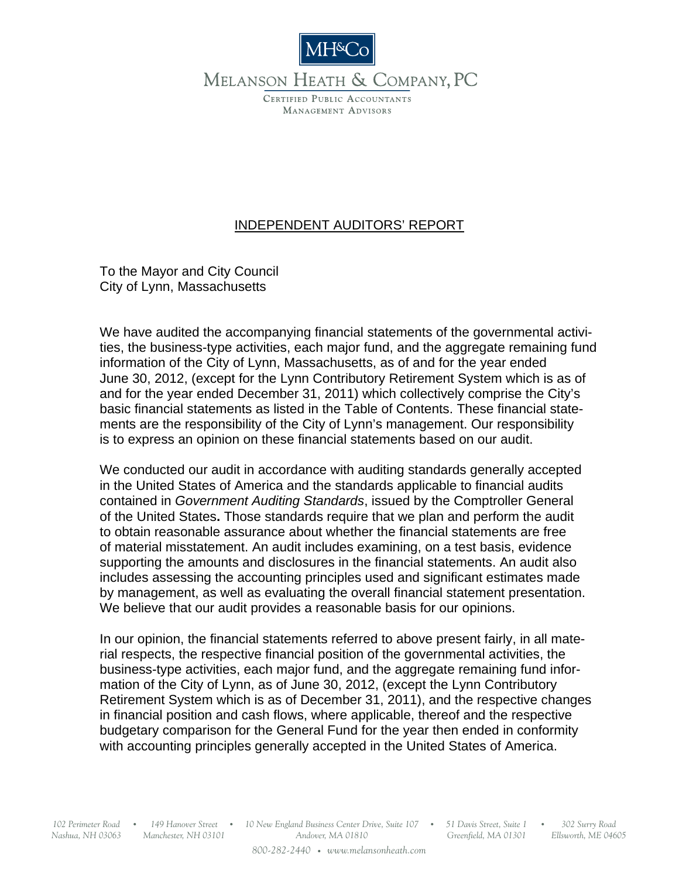

MELANSON HEATH & COMPANY, PC

CERTIFIED PUBLIC ACCOUNTANTS **MANAGEMENT ADVISORS** 

# INDEPENDENT AUDITORS' REPORT

To the Mayor and City Council City of Lynn, Massachusetts

We have audited the accompanying financial statements of the governmental activities, the business-type activities, each major fund, and the aggregate remaining fund information of the City of Lynn, Massachusetts, as of and for the year ended June 30, 2012, (except for the Lynn Contributory Retirement System which is as of and for the year ended December 31, 2011) which collectively comprise the City's basic financial statements as listed in the Table of Contents. These financial statements are the responsibility of the City of Lynn's management. Our responsibility is to express an opinion on these financial statements based on our audit.

We conducted our audit in accordance with auditing standards generally accepted in the United States of America and the standards applicable to financial audits contained in *Government Auditing Standards*, issued by the Comptroller General of the United States**.** Those standards require that we plan and perform the audit to obtain reasonable assurance about whether the financial statements are free of material misstatement. An audit includes examining, on a test basis, evidence supporting the amounts and disclosures in the financial statements. An audit also includes assessing the accounting principles used and significant estimates made by management, as well as evaluating the overall financial statement presentation. We believe that our audit provides a reasonable basis for our opinions.

In our opinion, the financial statements referred to above present fairly, in all material respects, the respective financial position of the governmental activities, the business-type activities, each major fund, and the aggregate remaining fund information of the City of Lynn, as of June 30, 2012, (except the Lynn Contributory Retirement System which is as of December 31, 2011), and the respective changes in financial position and cash flows, where applicable, thereof and the respective budgetary comparison for the General Fund for the year then ended in conformity with accounting principles generally accepted in the United States of America.

*Nashua, NH 03063 Manchester, NH 03101*

*10 New England Business Center Drive, Suite 107 102 Perimeter Road 149 Hanover Street 51 Davis Street, Suite 1 302 Surry Road* O O O O *Andover, MA 01810 800-282-2440* O *www.melansonheath.com*

*Greenfield, MA 01301*

*Ellsworth, ME 04605*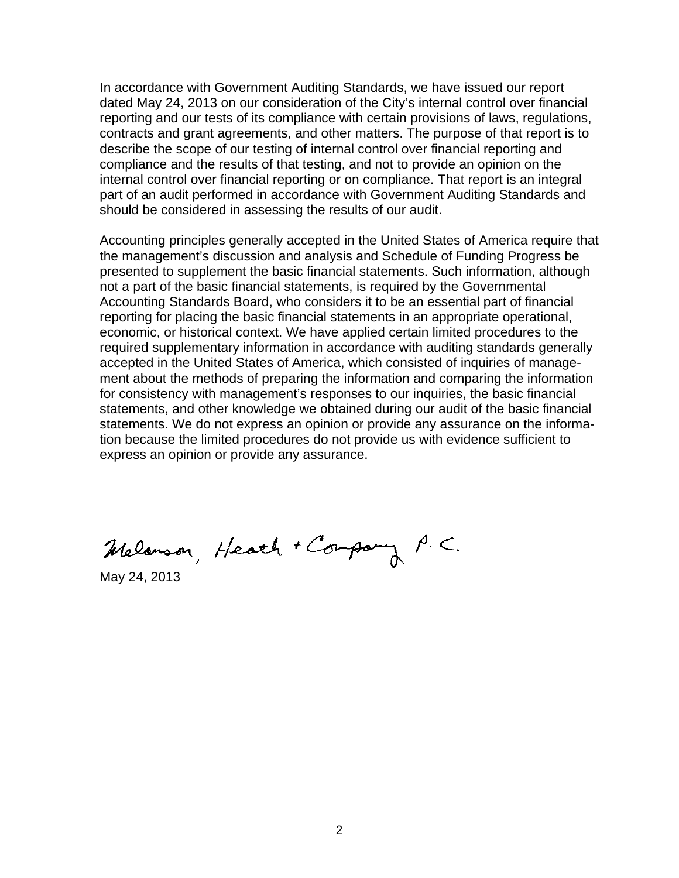In accordance with Government Auditing Standards, we have issued our report dated May 24, 2013 on our consideration of the City's internal control over financial reporting and our tests of its compliance with certain provisions of laws, regulations, contracts and grant agreements, and other matters. The purpose of that report is to describe the scope of our testing of internal control over financial reporting and compliance and the results of that testing, and not to provide an opinion on the internal control over financial reporting or on compliance. That report is an integral part of an audit performed in accordance with Government Auditing Standards and should be considered in assessing the results of our audit.

Accounting principles generally accepted in the United States of America require that the management's discussion and analysis and Schedule of Funding Progress be presented to supplement the basic financial statements. Such information, although not a part of the basic financial statements, is required by the Governmental Accounting Standards Board, who considers it to be an essential part of financial reporting for placing the basic financial statements in an appropriate operational, economic, or historical context. We have applied certain limited procedures to the required supplementary information in accordance with auditing standards generally accepted in the United States of America, which consisted of inquiries of management about the methods of preparing the information and comparing the information for consistency with management's responses to our inquiries, the basic financial statements, and other knowledge we obtained during our audit of the basic financial statements. We do not express an opinion or provide any assurance on the information because the limited procedures do not provide us with evidence sufficient to express an opinion or provide any assurance.

Melanson, Heach + Company P.C.

May 24, 2013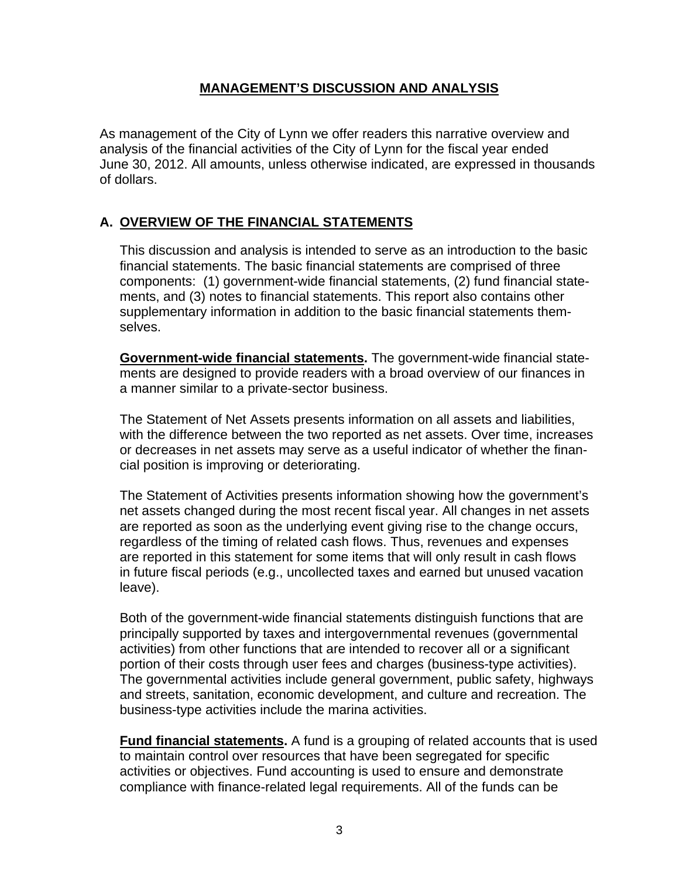### **MANAGEMENT'S DISCUSSION AND ANALYSIS**

As management of the City of Lynn we offer readers this narrative overview and analysis of the financial activities of the City of Lynn for the fiscal year ended June 30, 2012. All amounts, unless otherwise indicated, are expressed in thousands of dollars.

# **A. OVERVIEW OF THE FINANCIAL STATEMENTS**

This discussion and analysis is intended to serve as an introduction to the basic financial statements. The basic financial statements are comprised of three components: (1) government-wide financial statements, (2) fund financial statements, and (3) notes to financial statements. This report also contains other supplementary information in addition to the basic financial statements themselves.

**Government-wide financial statements.** The government-wide financial statements are designed to provide readers with a broad overview of our finances in a manner similar to a private-sector business.

The Statement of Net Assets presents information on all assets and liabilities, with the difference between the two reported as net assets. Over time, increases or decreases in net assets may serve as a useful indicator of whether the financial position is improving or deteriorating.

The Statement of Activities presents information showing how the government's net assets changed during the most recent fiscal year. All changes in net assets are reported as soon as the underlying event giving rise to the change occurs, regardless of the timing of related cash flows. Thus, revenues and expenses are reported in this statement for some items that will only result in cash flows in future fiscal periods (e.g., uncollected taxes and earned but unused vacation leave).

Both of the government-wide financial statements distinguish functions that are principally supported by taxes and intergovernmental revenues (governmental activities) from other functions that are intended to recover all or a significant portion of their costs through user fees and charges (business-type activities). The governmental activities include general government, public safety, highways and streets, sanitation, economic development, and culture and recreation. The business-type activities include the marina activities.

**Fund financial statements.** A fund is a grouping of related accounts that is used to maintain control over resources that have been segregated for specific activities or objectives. Fund accounting is used to ensure and demonstrate compliance with finance-related legal requirements. All of the funds can be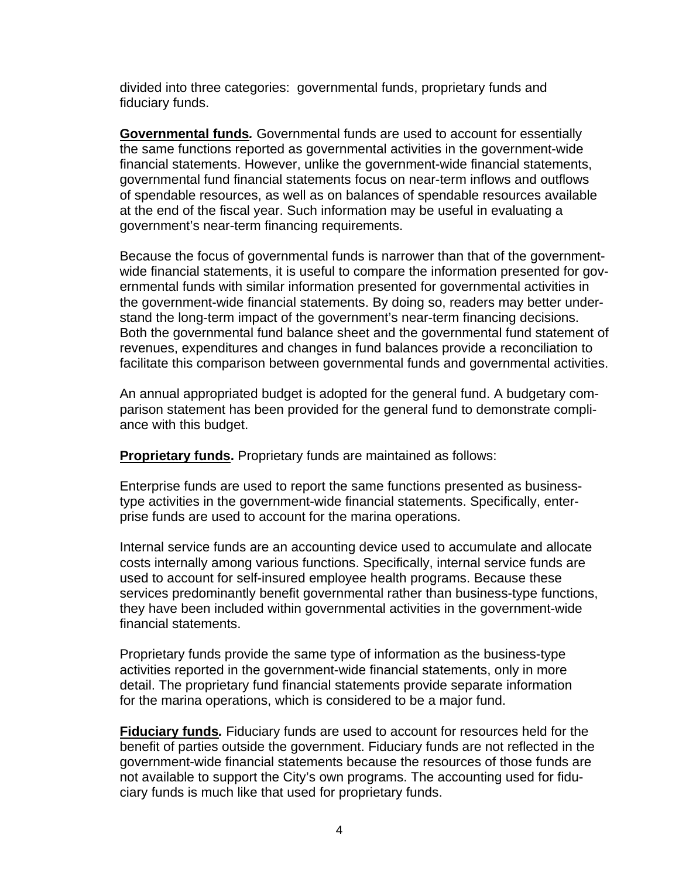divided into three categories: governmental funds, proprietary funds and fiduciary funds.

**Governmental funds***.* Governmental funds are used to account for essentially the same functions reported as governmental activities in the government-wide financial statements. However, unlike the government-wide financial statements, governmental fund financial statements focus on near-term inflows and outflows of spendable resources, as well as on balances of spendable resources available at the end of the fiscal year. Such information may be useful in evaluating a government's near-term financing requirements.

Because the focus of governmental funds is narrower than that of the governmentwide financial statements, it is useful to compare the information presented for governmental funds with similar information presented for governmental activities in the government-wide financial statements. By doing so, readers may better understand the long-term impact of the government's near-term financing decisions. Both the governmental fund balance sheet and the governmental fund statement of revenues, expenditures and changes in fund balances provide a reconciliation to facilitate this comparison between governmental funds and governmental activities.

An annual appropriated budget is adopted for the general fund. A budgetary comparison statement has been provided for the general fund to demonstrate compliance with this budget.

**Proprietary funds.** Proprietary funds are maintained as follows:

Enterprise funds are used to report the same functions presented as businesstype activities in the government-wide financial statements. Specifically, enterprise funds are used to account for the marina operations.

Internal service funds are an accounting device used to accumulate and allocate costs internally among various functions. Specifically, internal service funds are used to account for self-insured employee health programs. Because these services predominantly benefit governmental rather than business-type functions, they have been included within governmental activities in the government-wide financial statements.

Proprietary funds provide the same type of information as the business-type activities reported in the government-wide financial statements, only in more detail. The proprietary fund financial statements provide separate information for the marina operations, which is considered to be a major fund.

**Fiduciary funds***.* Fiduciary funds are used to account for resources held for the benefit of parties outside the government. Fiduciary funds are not reflected in the government-wide financial statements because the resources of those funds are not available to support the City's own programs. The accounting used for fiduciary funds is much like that used for proprietary funds.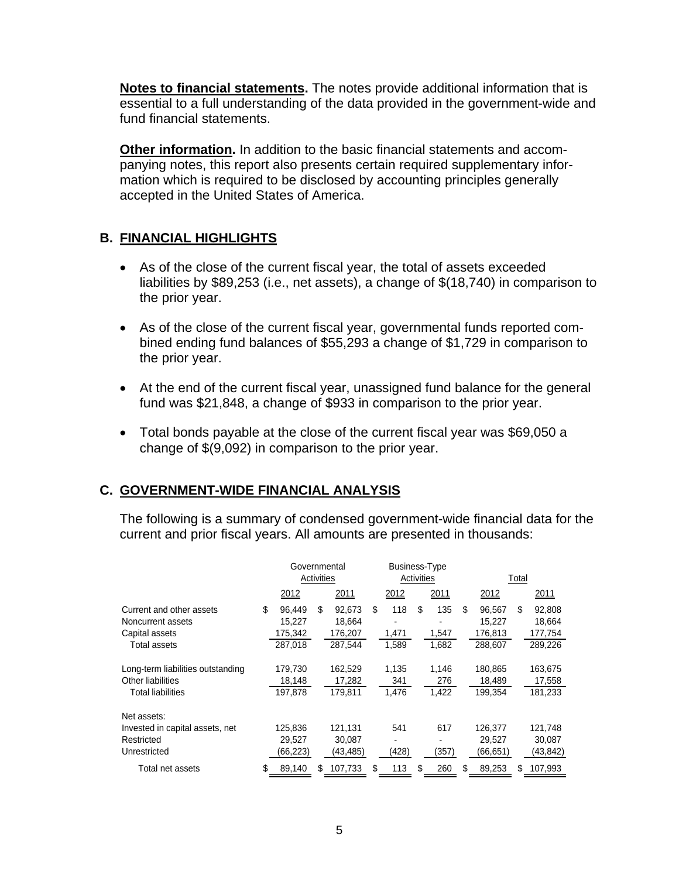**Notes to financial statements.** The notes provide additional information that is essential to a full understanding of the data provided in the government-wide and fund financial statements.

**Other information.** In addition to the basic financial statements and accompanying notes, this report also presents certain required supplementary information which is required to be disclosed by accounting principles generally accepted in the United States of America.

## **B. FINANCIAL HIGHLIGHTS**

- As of the close of the current fiscal year, the total of assets exceeded liabilities by \$89,253 (i.e., net assets), a change of \$(18,740) in comparison to the prior year.
- As of the close of the current fiscal year, governmental funds reported combined ending fund balances of \$55,293 a change of \$1,729 in comparison to the prior year.
- At the end of the current fiscal year, unassigned fund balance for the general fund was \$21,848, a change of \$933 in comparison to the prior year.
- Total bonds payable at the close of the current fiscal year was \$69,050 a change of \$(9,092) in comparison to the prior year.

# **C. GOVERNMENT-WIDE FINANCIAL ANALYSIS**

The following is a summary of condensed government-wide financial data for the current and prior fiscal years. All amounts are presented in thousands:

|                                                                 | Governmental<br>Activities        |    |                             | <b>Business-Type</b><br>Activities |              |    |              |    | Total                       |     |                             |  |
|-----------------------------------------------------------------|-----------------------------------|----|-----------------------------|------------------------------------|--------------|----|--------------|----|-----------------------------|-----|-----------------------------|--|
|                                                                 | 2012                              |    | 2011                        |                                    | 2012         |    | 2011         |    | 2012                        |     | 2011                        |  |
| Current and other assets<br>Noncurrent assets<br>Capital assets | \$<br>96.449<br>15,227<br>175,342 | \$ | 92,673<br>18,664<br>176,207 | \$                                 | 118<br>1,471 | \$ | 135<br>1,547 | \$ | 96,567<br>15,227<br>176,813 | \$. | 92,808<br>18,664<br>177,754 |  |
| <b>Total assets</b>                                             | 287,018                           |    | 287,544                     |                                    | 1.589        |    | 1,682        |    | 288,607                     |     | 289,226                     |  |
| Long-term liabilities outstanding                               | 179,730                           |    | 162,529                     |                                    | 1.135        |    | 1.146        |    | 180,865                     |     | 163,675                     |  |
| Other liabilities<br>Total liabilities                          | 18,148<br>197.878                 |    | 17,282<br>179.811           |                                    | 341<br>1.476 |    | 276<br>1.422 |    | 18,489<br>199.354           |     | 17,558<br>181,233           |  |
| Net assets:                                                     |                                   |    |                             |                                    |              |    |              |    |                             |     |                             |  |
| Invested in capital assets, net                                 | 125,836                           |    | 121,131                     |                                    | 541          |    | 617          |    | 126,377                     |     | 121,748                     |  |
| Restricted<br>Unrestricted                                      | 29,527<br>(66,223)                |    | 30.087<br>(43,485)          |                                    | (428)        |    | (357)        |    | 29.527<br>(66, 651)         |     | 30,087<br>(43, 842)         |  |
| Total net assets                                                | \$<br>89.140                      | S. | 107.733                     | S                                  | 113          | \$ | 260          | S. | 89,253                      | S   | 107.993                     |  |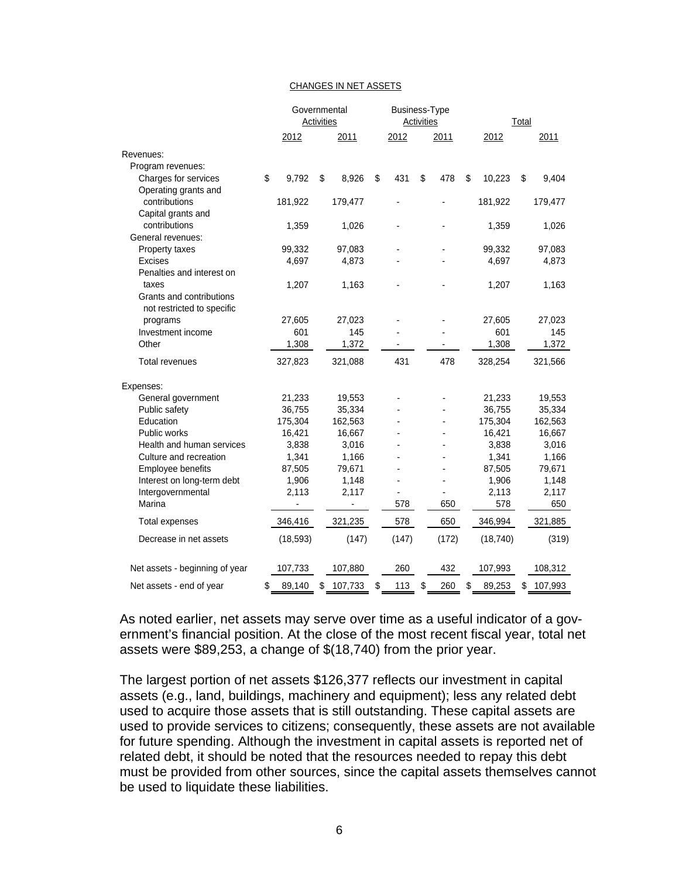#### CHANGES IN NET ASSETS

|                                | Governmental<br><b>Activities</b> |    |         | Business-Type<br><b>Activities</b> |    |                |    | Total     |    |         |
|--------------------------------|-----------------------------------|----|---------|------------------------------------|----|----------------|----|-----------|----|---------|
|                                | 2012                              |    | 2011    | 2012                               |    | 2011           |    | 2012      |    | 2011    |
| Revenues:                      |                                   |    |         |                                    |    |                |    |           |    |         |
| Program revenues:              |                                   |    |         |                                    |    |                |    |           |    |         |
| Charges for services           | \$<br>9,792                       | \$ | 8,926   | \$<br>431                          | \$ | 478            | \$ | 10,223    | \$ | 9,404   |
| Operating grants and           |                                   |    |         |                                    |    |                |    |           |    |         |
| contributions                  | 181,922                           |    | 179,477 |                                    |    |                |    | 181,922   |    | 179,477 |
| Capital grants and             |                                   |    |         |                                    |    |                |    |           |    |         |
| contributions                  | 1,359                             |    | 1,026   |                                    |    |                |    | 1,359     |    | 1,026   |
| General revenues:              |                                   |    |         |                                    |    |                |    |           |    |         |
| Property taxes                 | 99,332                            |    | 97,083  |                                    |    |                |    | 99,332    |    | 97,083  |
| Excises                        | 4,697                             |    | 4,873   |                                    |    |                |    | 4,697     |    | 4,873   |
| Penalties and interest on      |                                   |    |         |                                    |    |                |    |           |    |         |
| taxes                          | 1,207                             |    | 1,163   |                                    |    |                |    | 1,207     |    | 1,163   |
| Grants and contributions       |                                   |    |         |                                    |    |                |    |           |    |         |
| not restricted to specific     |                                   |    |         |                                    |    |                |    |           |    |         |
| programs                       | 27,605                            |    | 27,023  |                                    |    |                |    | 27,605    |    | 27,023  |
| Investment income              | 601                               |    | 145     |                                    |    |                |    | 601       |    | 145     |
| Other                          | 1,308                             |    | 1,372   |                                    |    |                |    | 1,308     |    | 1,372   |
| <b>Total revenues</b>          | 327,823                           |    | 321,088 | 431                                |    | 478            |    | 328,254   |    | 321,566 |
| Expenses:                      |                                   |    |         |                                    |    |                |    |           |    |         |
| General government             | 21,233                            |    | 19,553  |                                    |    |                |    | 21,233    |    | 19,553  |
| Public safety                  | 36,755                            |    | 35,334  |                                    |    |                |    | 36,755    |    | 35,334  |
| Education                      | 175,304                           |    | 162,563 |                                    |    |                |    | 175,304   |    | 162,563 |
| Public works                   | 16,421                            |    | 16,667  |                                    |    |                |    | 16,421    |    | 16,667  |
| Health and human services      | 3,838                             |    | 3,016   |                                    |    |                |    | 3,838     |    | 3,016   |
| Culture and recreation         | 1,341                             |    | 1,166   |                                    |    |                |    | 1,341     |    | 1,166   |
| Employee benefits              | 87,505                            |    | 79,671  |                                    |    |                |    | 87,505    |    | 79,671  |
| Interest on long-term debt     | 1,906                             |    | 1,148   |                                    |    | $\overline{a}$ |    | 1,906     |    | 1,148   |
| Intergovernmental              | 2,113                             |    | 2,117   |                                    |    |                |    | 2,113     |    | 2,117   |
| Marina                         |                                   |    |         | 578                                |    | 650            |    | 578       |    | 650     |
| <b>Total expenses</b>          | 346,416                           |    | 321,235 | 578                                |    | 650            |    | 346,994   |    | 321,885 |
| Decrease in net assets         | (18, 593)                         |    | (147)   | (147)                              |    | (172)          |    | (18, 740) |    | (319)   |
| Net assets - beginning of year | 107,733                           |    | 107,880 | 260                                |    | 432            |    | 107,993   |    | 108,312 |
| Net assets - end of year       | \$<br>89,140                      | \$ | 107,733 | \$<br>113                          | \$ | 260            | \$ | 89,253    | \$ | 107,993 |

As noted earlier, net assets may serve over time as a useful indicator of a government's financial position. At the close of the most recent fiscal year, total net assets were \$89,253, a change of \$(18,740) from the prior year.

The largest portion of net assets \$126,377 reflects our investment in capital assets (e.g., land, buildings, machinery and equipment); less any related debt used to acquire those assets that is still outstanding. These capital assets are used to provide services to citizens; consequently, these assets are not available for future spending. Although the investment in capital assets is reported net of related debt, it should be noted that the resources needed to repay this debt must be provided from other sources, since the capital assets themselves cannot be used to liquidate these liabilities.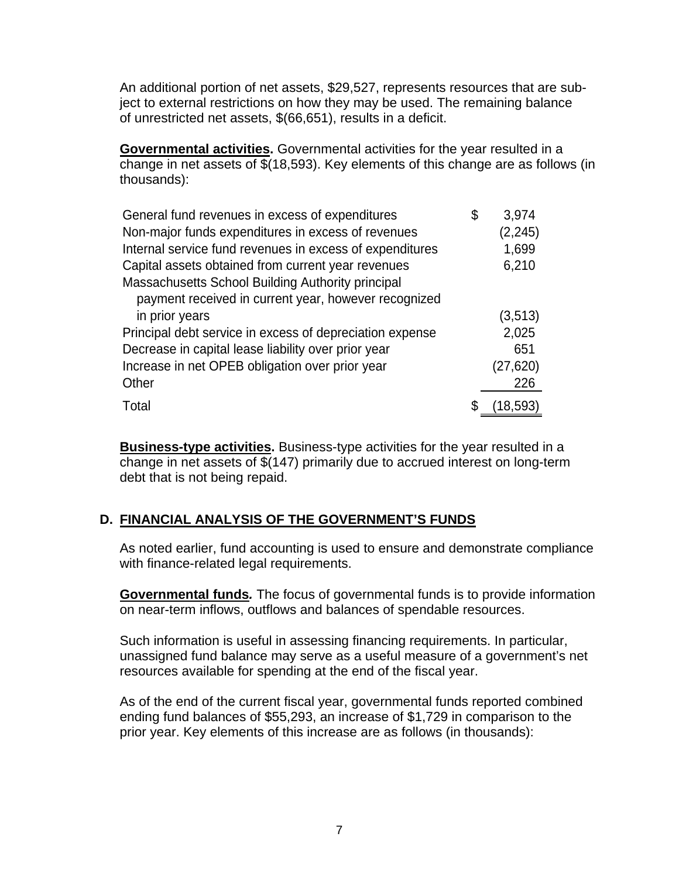An additional portion of net assets, \$29,527, represents resources that are subject to external restrictions on how they may be used. The remaining balance of unrestricted net assets, \$(66,651), results in a deficit.

**Governmental activities.** Governmental activities for the year resulted in a change in net assets of \$(18,593). Key elements of this change are as follows (in thousands):

| General fund revenues in excess of expenditures          | \$<br>3,974 |
|----------------------------------------------------------|-------------|
| Non-major funds expenditures in excess of revenues       | (2, 245)    |
| Internal service fund revenues in excess of expenditures | 1,699       |
| Capital assets obtained from current year revenues       | 6,210       |
| Massachusetts School Building Authority principal        |             |
| payment received in current year, however recognized     |             |
| in prior years                                           | (3,513)     |
| Principal debt service in excess of depreciation expense | 2,025       |
| Decrease in capital lease liability over prior year      | 651         |
| Increase in net OPEB obligation over prior year          | (27, 620)   |
| Other                                                    | 226         |
| Total                                                    | (18, 593)   |

**Business-type activities.** Business-type activities for the year resulted in a change in net assets of \$(147) primarily due to accrued interest on long-term debt that is not being repaid.

# **D. FINANCIAL ANALYSIS OF THE GOVERNMENT'S FUNDS**

As noted earlier, fund accounting is used to ensure and demonstrate compliance with finance-related legal requirements.

**Governmental funds***.* The focus of governmental funds is to provide information on near-term inflows, outflows and balances of spendable resources.

Such information is useful in assessing financing requirements. In particular, unassigned fund balance may serve as a useful measure of a government's net resources available for spending at the end of the fiscal year.

As of the end of the current fiscal year, governmental funds reported combined ending fund balances of \$55,293, an increase of \$1,729 in comparison to the prior year. Key elements of this increase are as follows (in thousands):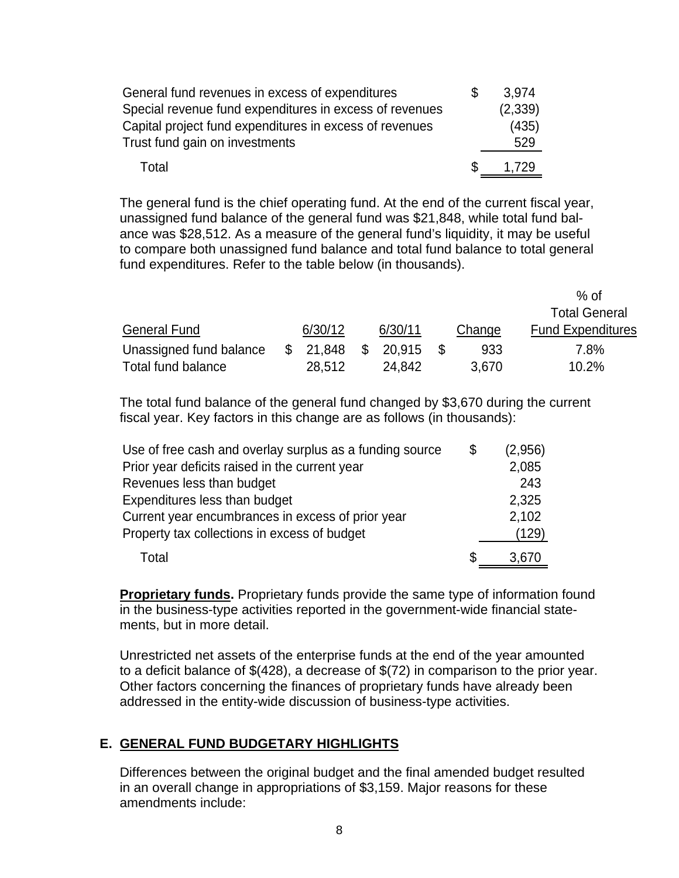| General fund revenues in excess of expenditures         | \$. | 3.974   |
|---------------------------------------------------------|-----|---------|
| Special revenue fund expenditures in excess of revenues |     | (2,339) |
| Capital project fund expenditures in excess of revenues |     | (435)   |
| Trust fund gain on investments                          |     | 529     |
| Total                                                   | S   | 1.729   |

The general fund is the chief operating fund. At the end of the current fiscal year, unassigned fund balance of the general fund was \$21,848, while total fund balance was \$28,512. As a measure of the general fund's liquidity, it may be useful to compare both unassigned fund balance and total fund balance to total general fund expenditures. Refer to the table below (in thousands).

|                         |              |         |        | % of                     |
|-------------------------|--------------|---------|--------|--------------------------|
|                         |              |         |        | <b>Total General</b>     |
| <b>General Fund</b>     | 6/30/12      | 6/30/11 | Change | <b>Fund Expenditures</b> |
| Unassigned fund balance | \$<br>21.848 | 20.915  | 933    | 7.8%                     |
| Total fund balance      | 28,512       | 24,842  | 3,670  | 10.2%                    |

The total fund balance of the general fund changed by \$3,670 during the current fiscal year. Key factors in this change are as follows (in thousands):

| Use of free cash and overlay surplus as a funding source | \$<br>(2,956) |
|----------------------------------------------------------|---------------|
| Prior year deficits raised in the current year           | 2,085         |
| Revenues less than budget                                | 243           |
| Expenditures less than budget                            | 2,325         |
| Current year encumbrances in excess of prior year        | 2,102         |
| Property tax collections in excess of budget             | (129)         |
| Total                                                    | 3,670         |

**Proprietary funds.** Proprietary funds provide the same type of information found in the business-type activities reported in the government-wide financial statements, but in more detail.

Unrestricted net assets of the enterprise funds at the end of the year amounted to a deficit balance of \$(428), a decrease of \$(72) in comparison to the prior year. Other factors concerning the finances of proprietary funds have already been addressed in the entity-wide discussion of business-type activities.

# **E. GENERAL FUND BUDGETARY HIGHLIGHTS**

Differences between the original budget and the final amended budget resulted in an overall change in appropriations of \$3,159. Major reasons for these amendments include: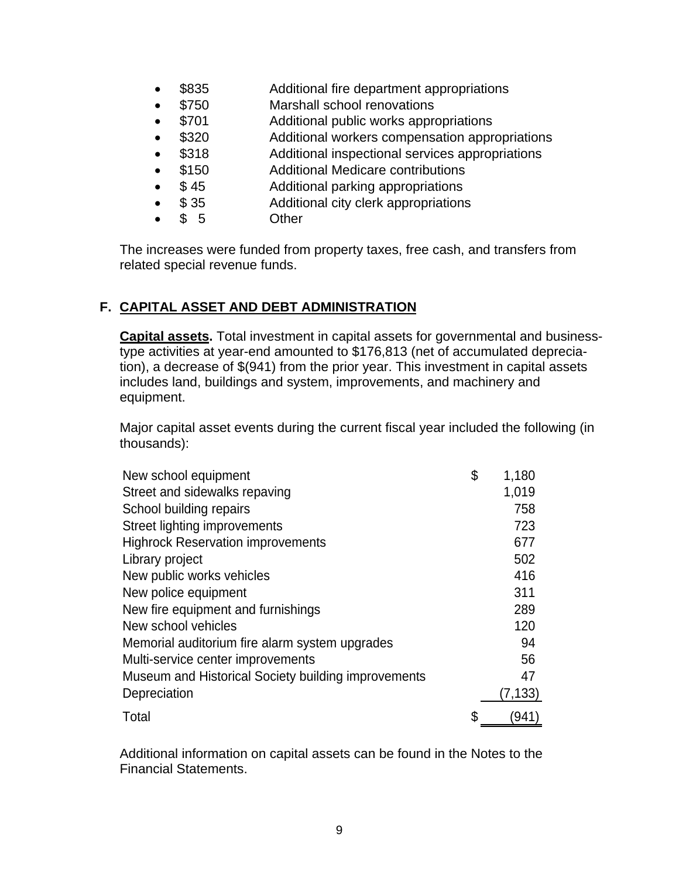- \$835 Additional fire department appropriations
- \$750 Marshall school renovations
- \$701 Additional public works appropriations
- \$320 Additional workers compensation appropriations
- \$318 Additional inspectional services appropriations
- \$150 Additional Medicare contributions
- \$ 45 Additional parking appropriations
- \$35 Additional city clerk appropriations
	- \$ 5 Other

The increases were funded from property taxes, free cash, and transfers from related special revenue funds.

# **F. CAPITAL ASSET AND DEBT ADMINISTRATION**

**Capital assets.** Total investment in capital assets for governmental and businesstype activities at year-end amounted to \$176,813 (net of accumulated depreciation), a decrease of \$(941) from the prior year. This investment in capital assets includes land, buildings and system, improvements, and machinery and equipment.

Major capital asset events during the current fiscal year included the following (in thousands):

| New school equipment                                | \$<br>1,180 |
|-----------------------------------------------------|-------------|
| Street and sidewalks repaving                       | 1,019       |
| School building repairs                             | 758         |
| Street lighting improvements                        | 723         |
| <b>Highrock Reservation improvements</b>            | 677         |
| Library project                                     | 502         |
| New public works vehicles                           | 416         |
| New police equipment                                | 311         |
| New fire equipment and furnishings                  | 289         |
| New school vehicles                                 | 120         |
| Memorial auditorium fire alarm system upgrades      | 94          |
| Multi-service center improvements                   | 56          |
| Museum and Historical Society building improvements | 47          |
| Depreciation                                        | (7,133)     |
| Total                                               | \$<br>941   |

Additional information on capital assets can be found in the Notes to the Financial Statements.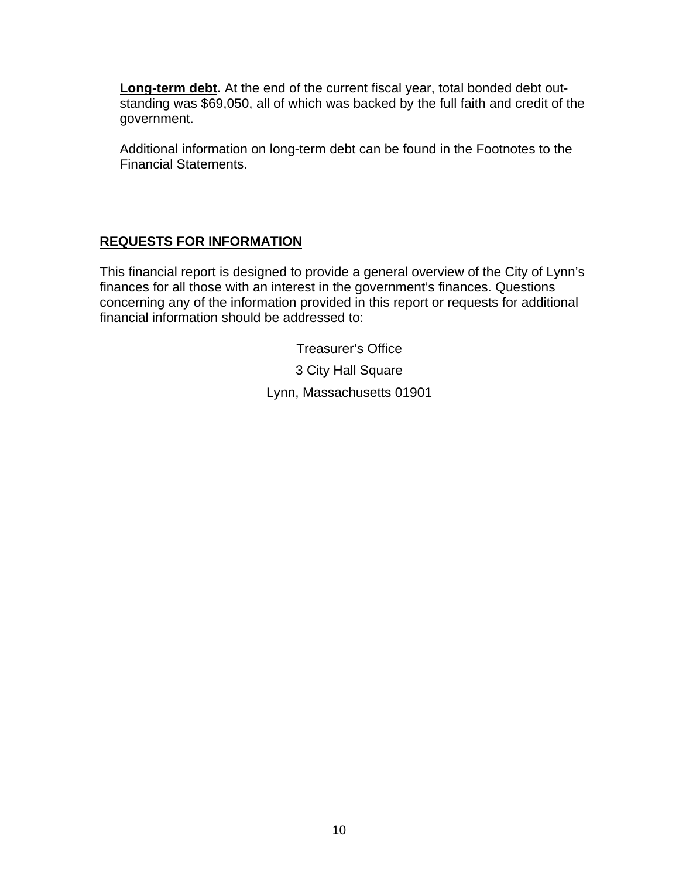**Long-term debt.** At the end of the current fiscal year, total bonded debt outstanding was \$69,050, all of which was backed by the full faith and credit of the government.

Additional information on long-term debt can be found in the Footnotes to the Financial Statements.

# **REQUESTS FOR INFORMATION**

This financial report is designed to provide a general overview of the City of Lynn's finances for all those with an interest in the government's finances. Questions concerning any of the information provided in this report or requests for additional financial information should be addressed to:

> Treasurer's Office 3 City Hall Square Lynn, Massachusetts 01901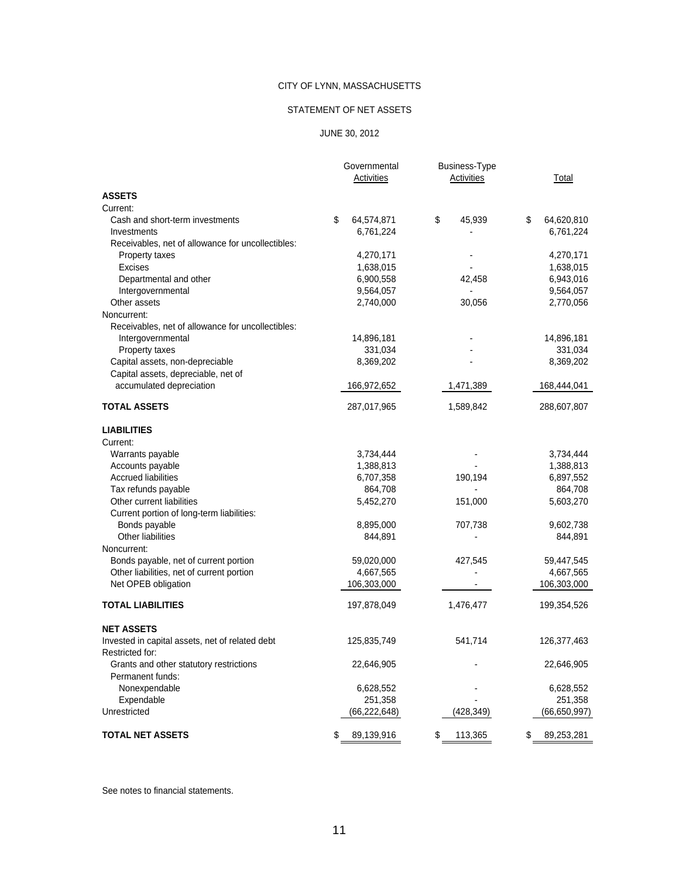#### STATEMENT OF NET ASSETS

#### JUNE 30, 2012

|                                                   | Governmental<br>Activities | <b>Business-Type</b><br>Activities | Total            |
|---------------------------------------------------|----------------------------|------------------------------------|------------------|
| <b>ASSETS</b>                                     |                            |                                    |                  |
| Current:                                          |                            |                                    |                  |
| Cash and short-term investments                   | \$<br>64,574,871           | \$<br>45,939                       | \$<br>64,620,810 |
| Investments                                       | 6,761,224                  |                                    | 6,761,224        |
| Receivables, net of allowance for uncollectibles: |                            |                                    |                  |
| Property taxes                                    | 4,270,171                  |                                    | 4,270,171        |
| <b>Excises</b>                                    | 1,638,015                  |                                    | 1,638,015        |
| Departmental and other                            | 6,900,558                  | 42,458                             | 6,943,016        |
| Intergovernmental                                 | 9,564,057                  | $\overline{\phantom{a}}$           | 9,564,057        |
| Other assets                                      | 2,740,000                  | 30,056                             | 2,770,056        |
| Noncurrent:                                       |                            |                                    |                  |
| Receivables, net of allowance for uncollectibles: |                            |                                    |                  |
| Intergovernmental                                 | 14,896,181                 |                                    | 14,896,181       |
| Property taxes                                    | 331,034                    |                                    | 331,034          |
| Capital assets, non-depreciable                   | 8,369,202                  |                                    | 8,369,202        |
| Capital assets, depreciable, net of               |                            |                                    |                  |
| accumulated depreciation                          | 166,972,652                | 1,471,389                          | 168,444,041      |
| <b>TOTAL ASSETS</b>                               | 287,017,965                | 1,589,842                          | 288,607,807      |
| <b>LIABILITIES</b>                                |                            |                                    |                  |
| Current:                                          |                            |                                    |                  |
| Warrants payable                                  | 3,734,444                  |                                    | 3,734,444        |
| Accounts payable                                  | 1,388,813                  |                                    | 1,388,813        |
| <b>Accrued liabilities</b>                        | 6,707,358                  | 190,194                            | 6,897,552        |
| Tax refunds payable                               | 864,708                    |                                    | 864,708          |
| Other current liabilities                         | 5,452,270                  | 151,000                            | 5,603,270        |
| Current portion of long-term liabilities:         |                            |                                    |                  |
| Bonds payable                                     | 8,895,000                  | 707,738                            | 9,602,738        |
| Other liabilities                                 | 844,891                    |                                    | 844,891          |
| Noncurrent:                                       |                            |                                    |                  |
| Bonds payable, net of current portion             | 59,020,000                 | 427,545                            | 59,447,545       |
| Other liabilities, net of current portion         | 4,667,565                  |                                    | 4,667,565        |
| Net OPEB obligation                               | 106,303,000                |                                    | 106,303,000      |
| <b>TOTAL LIABILITIES</b>                          | 197,878,049                | 1,476,477                          | 199,354,526      |
| <b>NET ASSETS</b>                                 |                            |                                    |                  |
| Invested in capital assets, net of related debt   | 125,835,749                | 541,714                            | 126,377,463      |
| Restricted for:                                   |                            |                                    |                  |
| Grants and other statutory restrictions           | 22,646,905                 |                                    | 22,646,905       |
| Permanent funds:                                  |                            |                                    |                  |
| Nonexpendable                                     | 6,628,552                  |                                    | 6,628,552        |
| Expendable                                        | 251,358                    |                                    | 251,358          |
| Unrestricted                                      | (66, 222, 648)             | (428, 349)                         | (66,650,997)     |
| <b>TOTAL NET ASSETS</b>                           | \$<br>89,139,916           | \$<br>113,365                      | \$<br>89,253,281 |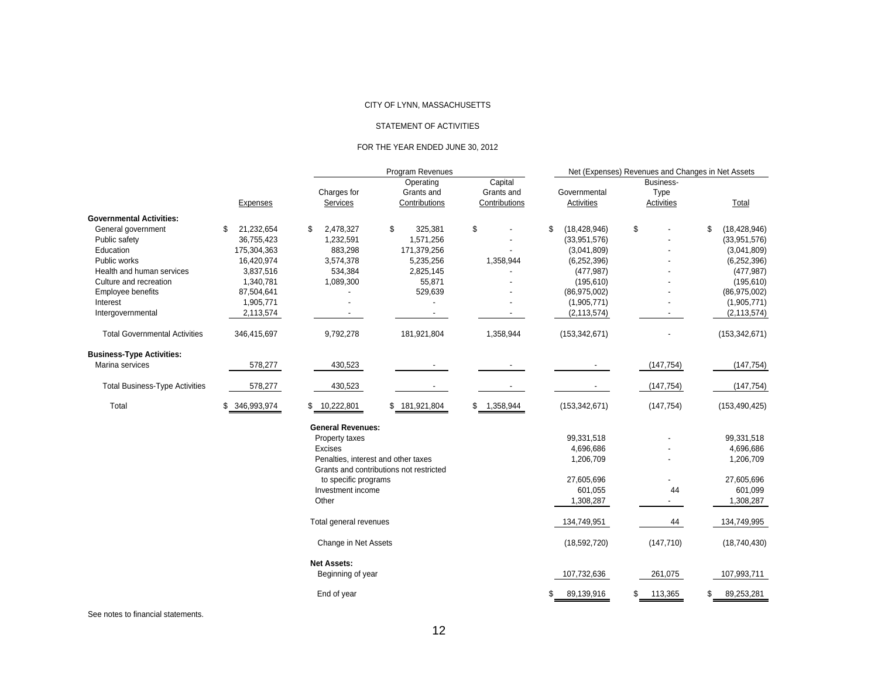#### STATEMENT OF ACTIVITIES

#### FOR THE YEAR ENDED JUNE 30, 2012

|                                       |                  |                                     | Program Revenues                        |               |                      | Net (Expenses) Revenues and Changes in Net Assets |                      |
|---------------------------------------|------------------|-------------------------------------|-----------------------------------------|---------------|----------------------|---------------------------------------------------|----------------------|
|                                       |                  |                                     | Operating                               | Capital       |                      | Business-                                         |                      |
|                                       |                  | Charges for                         | Grants and                              | Grants and    | Governmental         | Type                                              |                      |
|                                       | <b>Expenses</b>  | Services                            | Contributions                           | Contributions | Activities           | <b>Activities</b>                                 | Total                |
| <b>Governmental Activities:</b>       |                  |                                     |                                         |               |                      |                                                   |                      |
| General government                    | 21,232,654<br>S. | 2,478,327<br>\$                     | \$<br>325,381                           | \$            | \$<br>(18, 428, 946) | \$                                                | \$<br>(18, 428, 946) |
| Public safety                         | 36,755,423       | 1,232,591                           | 1,571,256                               |               | (33,951,576)         |                                                   | (33,951,576)         |
| Education                             | 175,304,363      | 883,298                             | 171,379,256                             |               | (3,041,809)          |                                                   | (3,041,809)          |
| Public works                          | 16,420,974       | 3,574,378                           | 5,235,256                               | 1,358,944     | (6, 252, 396)        |                                                   | (6, 252, 396)        |
| Health and human services             | 3,837,516        | 534,384                             | 2,825,145                               |               | (477, 987)           |                                                   | (477, 987)           |
| Culture and recreation                | 1,340,781        | 1,089,300                           | 55,871                                  |               | (195, 610)           |                                                   | (195, 610)           |
| Employee benefits                     | 87,504,641       |                                     | 529,639                                 |               | (86,975,002)         |                                                   | (86,975,002)         |
| Interest                              | 1,905,771        |                                     |                                         |               | (1,905,771)          |                                                   | (1,905,771)          |
| Intergovernmental                     | 2,113,574        |                                     |                                         |               | (2, 113, 574)        |                                                   | (2, 113, 574)        |
| <b>Total Governmental Activities</b>  | 346,415,697      | 9,792,278                           | 181,921,804                             | 1,358,944     | (153, 342, 671)      |                                                   | (153, 342, 671)      |
| <b>Business-Type Activities:</b>      |                  |                                     |                                         |               |                      |                                                   |                      |
| Marina services                       | 578,277          | 430,523                             |                                         |               |                      | (147, 754)                                        | (147, 754)           |
| <b>Total Business-Type Activities</b> | 578,277          | 430,523                             |                                         |               |                      | (147, 754)                                        | (147, 754)           |
| Total                                 | \$ 346,993,974   | \$ 10,222,801                       | \$181,921,804                           | \$1,358,944   | (153, 342, 671)      | (147, 754)                                        | (153, 490, 425)      |
|                                       |                  | <b>General Revenues:</b>            |                                         |               |                      |                                                   |                      |
|                                       |                  | Property taxes                      |                                         |               | 99,331,518           |                                                   | 99,331,518           |
|                                       |                  | Excises                             |                                         |               | 4,696,686            |                                                   | 4,696,686            |
|                                       |                  | Penalties, interest and other taxes | Grants and contributions not restricted |               | 1,206,709            |                                                   | 1,206,709            |
|                                       |                  | to specific programs                |                                         |               | 27,605,696           |                                                   | 27,605,696           |
|                                       |                  | Investment income                   |                                         |               | 601,055              | 44                                                | 601,099              |
|                                       |                  | Other                               |                                         |               | 1,308,287            | $\overline{\phantom{a}}$                          | 1,308,287            |
|                                       |                  | Total general revenues              |                                         |               | 134,749,951          | 44                                                | 134,749,995          |
|                                       |                  | Change in Net Assets                |                                         |               | (18,592,720)         | (147, 710)                                        | (18,740,430)         |
|                                       |                  | <b>Net Assets:</b>                  |                                         |               |                      |                                                   |                      |
|                                       |                  | Beginning of year                   |                                         |               | 107,732,636          | 261,075                                           | 107,993,711          |
|                                       |                  | End of year                         |                                         |               | 89,139,916           | 113,365<br>\$                                     | 89,253,281<br>S.     |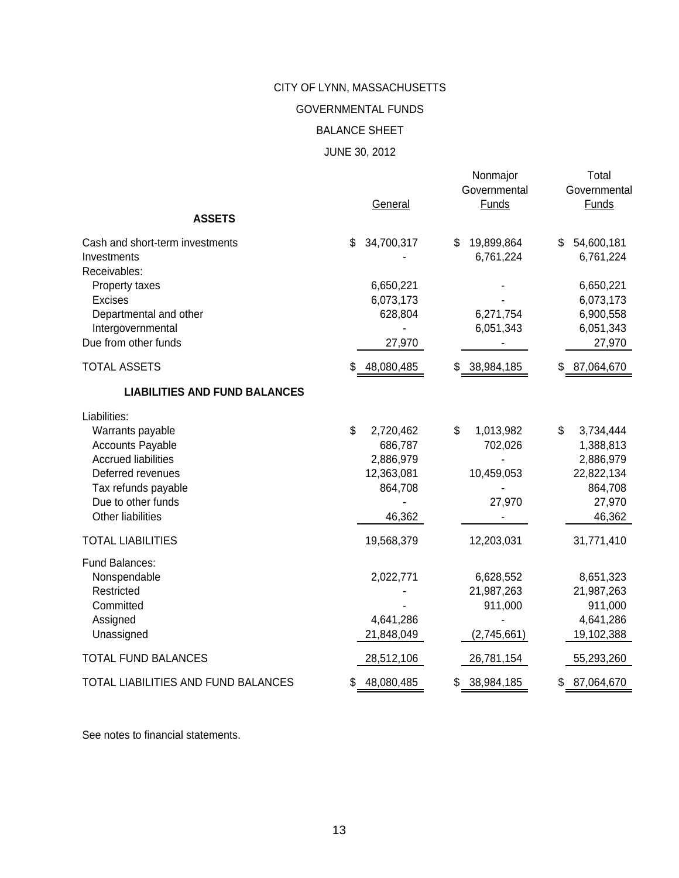GOVERNMENTAL FUNDS

### BALANCE SHEET

### JUNE 30, 2012

|                                                                                                                                                                                  | General                                                                    | Nonmajor<br>Governmental<br><b>Funds</b>           | Total<br>Governmental<br><b>Funds</b>                                                  |
|----------------------------------------------------------------------------------------------------------------------------------------------------------------------------------|----------------------------------------------------------------------------|----------------------------------------------------|----------------------------------------------------------------------------------------|
| <b>ASSETS</b>                                                                                                                                                                    |                                                                            |                                                    |                                                                                        |
| Cash and short-term investments<br>Investments<br>Receivables:                                                                                                                   | 34,700,317<br>\$                                                           | 19,899,864<br>\$<br>6,761,224                      | 54,600,181<br>\$<br>6,761,224                                                          |
| Property taxes<br><b>Excises</b><br>Departmental and other<br>Intergovernmental<br>Due from other funds                                                                          | 6,650,221<br>6,073,173<br>628,804<br>27,970                                | 6,271,754<br>6,051,343                             | 6,650,221<br>6,073,173<br>6,900,558<br>6,051,343<br>27,970                             |
| <b>TOTAL ASSETS</b>                                                                                                                                                              |                                                                            |                                                    |                                                                                        |
| <b>LIABILITIES AND FUND BALANCES</b>                                                                                                                                             | 48,080,485<br>\$                                                           | 38,984,185<br>\$                                   | 87,064,670<br>S                                                                        |
| Liabilities:<br>Warrants payable<br><b>Accounts Payable</b><br><b>Accrued liabilities</b><br>Deferred revenues<br>Tax refunds payable<br>Due to other funds<br>Other liabilities | \$<br>2,720,462<br>686,787<br>2,886,979<br>12,363,081<br>864,708<br>46,362 | \$<br>1,013,982<br>702,026<br>10,459,053<br>27,970 | \$<br>3,734,444<br>1,388,813<br>2,886,979<br>22,822,134<br>864,708<br>27,970<br>46,362 |
| <b>TOTAL LIABILITIES</b>                                                                                                                                                         | 19,568,379                                                                 | 12,203,031                                         | 31,771,410                                                                             |
| Fund Balances:<br>Nonspendable<br>Restricted<br>Committed<br>Assigned<br>Unassigned                                                                                              | 2,022,771<br>4,641,286<br>21,848,049                                       | 6,628,552<br>21,987,263<br>911,000<br>(2,745,661)  | 8,651,323<br>21,987,263<br>911,000<br>4,641,286<br>19,102,388                          |
| <b>TOTAL FUND BALANCES</b>                                                                                                                                                       | 28,512,106                                                                 | 26,781,154                                         | 55,293,260                                                                             |
| TOTAL LIABILITIES AND FUND BALANCES                                                                                                                                              | \$<br>48,080,485                                                           | \$<br>38,984,185                                   | 87,064,670<br>\$                                                                       |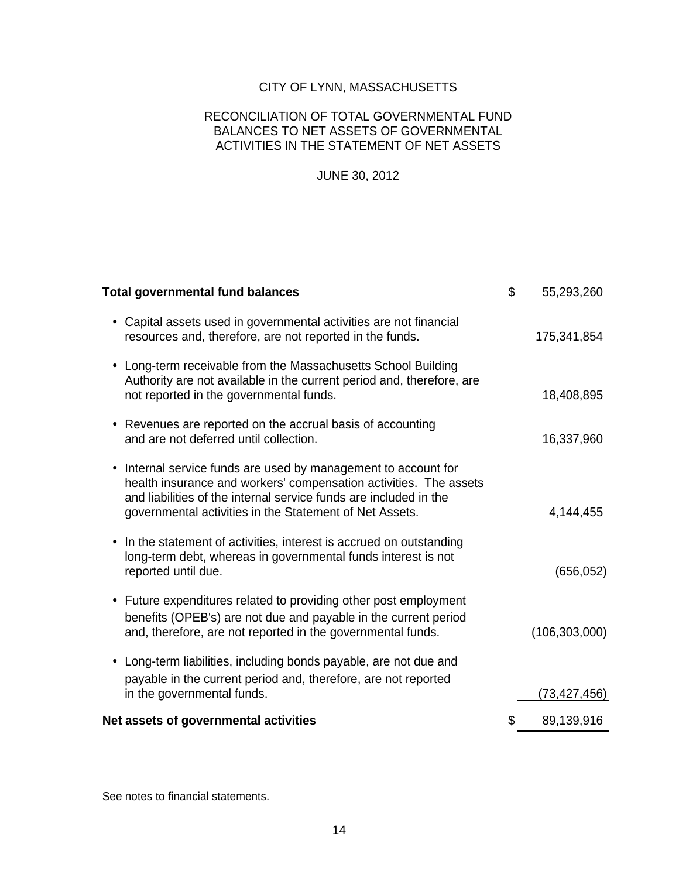#### RECONCILIATION OF TOTAL GOVERNMENTAL FUND BALANCES TO NET ASSETS OF GOVERNMENTAL ACTIVITIES IN THE STATEMENT OF NET ASSETS

### JUNE 30, 2012

| <b>Total governmental fund balances</b>                                                                                                                                                                                                                                        | \$<br>55,293,260 |
|--------------------------------------------------------------------------------------------------------------------------------------------------------------------------------------------------------------------------------------------------------------------------------|------------------|
| Capital assets used in governmental activities are not financial<br>$\bullet$<br>resources and, therefore, are not reported in the funds.                                                                                                                                      | 175,341,854      |
| Long-term receivable from the Massachusetts School Building<br>$\bullet$<br>Authority are not available in the current period and, therefore, are<br>not reported in the governmental funds.                                                                                   | 18,408,895       |
| • Revenues are reported on the accrual basis of accounting<br>and are not deferred until collection.                                                                                                                                                                           | 16,337,960       |
| Internal service funds are used by management to account for<br>$\bullet$<br>health insurance and workers' compensation activities. The assets<br>and liabilities of the internal service funds are included in the<br>governmental activities in the Statement of Net Assets. | 4,144,455        |
| In the statement of activities, interest is accrued on outstanding<br>٠<br>long-term debt, whereas in governmental funds interest is not<br>reported until due.                                                                                                                | (656, 052)       |
| • Future expenditures related to providing other post employment<br>benefits (OPEB's) are not due and payable in the current period<br>and, therefore, are not reported in the governmental funds.                                                                             | (106, 303, 000)  |
| • Long-term liabilities, including bonds payable, are not due and<br>payable in the current period and, therefore, are not reported<br>in the governmental funds.                                                                                                              | (73,427,456)     |
| Net assets of governmental activities                                                                                                                                                                                                                                          | \$<br>89,139,916 |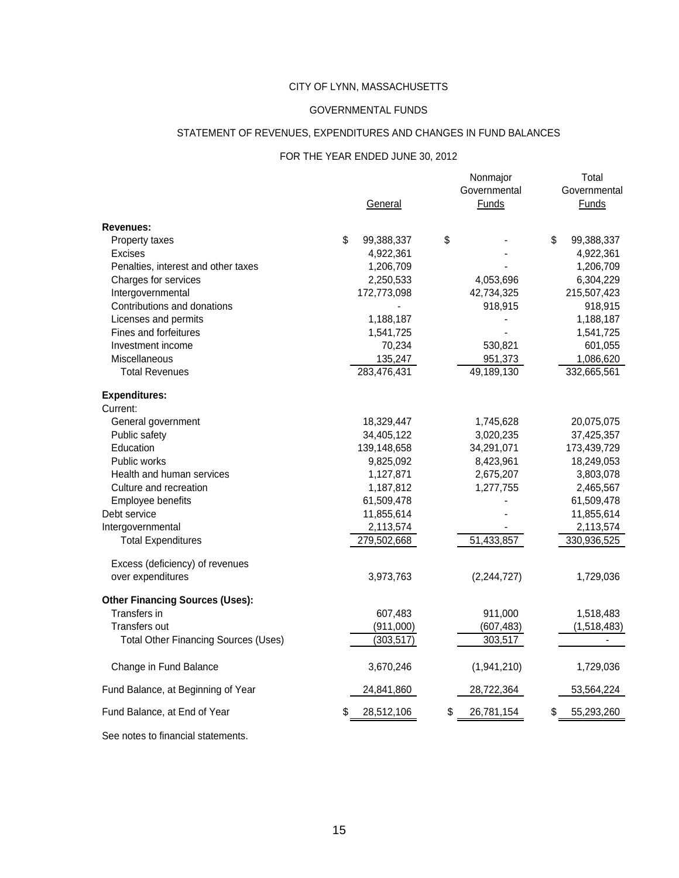#### GOVERNMENTAL FUNDS

#### STATEMENT OF REVENUES, EXPENDITURES AND CHANGES IN FUND BALANCES

#### FOR THE YEAR ENDED JUNE 30, 2012

|                                             | General          | Nonmajor<br>Governmental<br><b>Funds</b> |    | Total<br>Governmental<br>Funds |
|---------------------------------------------|------------------|------------------------------------------|----|--------------------------------|
| Revenues:                                   |                  |                                          |    |                                |
| Property taxes                              | \$<br>99,388,337 | \$                                       | \$ | 99,388,337                     |
| Excises                                     | 4,922,361        |                                          |    | 4,922,361                      |
| Penalties, interest and other taxes         | 1,206,709        |                                          |    | 1,206,709                      |
| Charges for services                        | 2,250,533        | 4,053,696                                |    | 6,304,229                      |
| Intergovernmental                           | 172,773,098      | 42,734,325                               |    | 215,507,423                    |
| Contributions and donations                 |                  | 918,915                                  |    | 918,915                        |
| Licenses and permits                        | 1,188,187        |                                          |    | 1,188,187                      |
| Fines and forfeitures                       | 1,541,725        |                                          |    | 1,541,725                      |
| Investment income                           | 70,234           | 530,821                                  |    | 601,055                        |
| <b>Miscellaneous</b>                        | 135,247          | 951,373                                  |    | 1,086,620                      |
| <b>Total Revenues</b>                       | 283,476,431      | 49,189,130                               |    | 332,665,561                    |
| <b>Expenditures:</b>                        |                  |                                          |    |                                |
| Current:                                    |                  |                                          |    |                                |
| General government                          | 18,329,447       | 1,745,628                                |    | 20,075,075                     |
| Public safety                               | 34,405,122       | 3,020,235                                |    | 37,425,357                     |
| Education                                   | 139,148,658      | 34,291,071                               |    | 173,439,729                    |
| Public works                                | 9,825,092        | 8,423,961                                |    | 18,249,053                     |
| Health and human services                   | 1,127,871        | 2,675,207                                |    | 3,803,078                      |
| Culture and recreation                      | 1,187,812        | 1,277,755                                |    | 2,465,567                      |
| Employee benefits                           | 61,509,478       |                                          |    | 61,509,478                     |
| Debt service                                | 11,855,614       |                                          |    | 11,855,614                     |
| Intergovernmental                           | 2,113,574        |                                          |    | 2,113,574                      |
| <b>Total Expenditures</b>                   | 279,502,668      | 51,433,857                               |    | 330,936,525                    |
| Excess (deficiency) of revenues             |                  |                                          |    |                                |
| over expenditures                           | 3,973,763        | (2, 244, 727)                            |    | 1,729,036                      |
| <b>Other Financing Sources (Uses):</b>      |                  |                                          |    |                                |
| Transfers in                                | 607,483          | 911,000                                  |    | 1,518,483                      |
| <b>Transfers out</b>                        | (911,000)        | (607, 483)                               |    | (1,518,483)                    |
| <b>Total Other Financing Sources (Uses)</b> | (303, 517)       | 303,517                                  |    |                                |
| Change in Fund Balance                      | 3,670,246        | (1,941,210)                              |    | 1,729,036                      |
| Fund Balance, at Beginning of Year          | 24,841,860       | 28,722,364                               |    | 53,564,224                     |
|                                             |                  |                                          |    |                                |
| Fund Balance, at End of Year                | 28,512,106       | \$<br>26,781,154                         | S  | 55,293,260                     |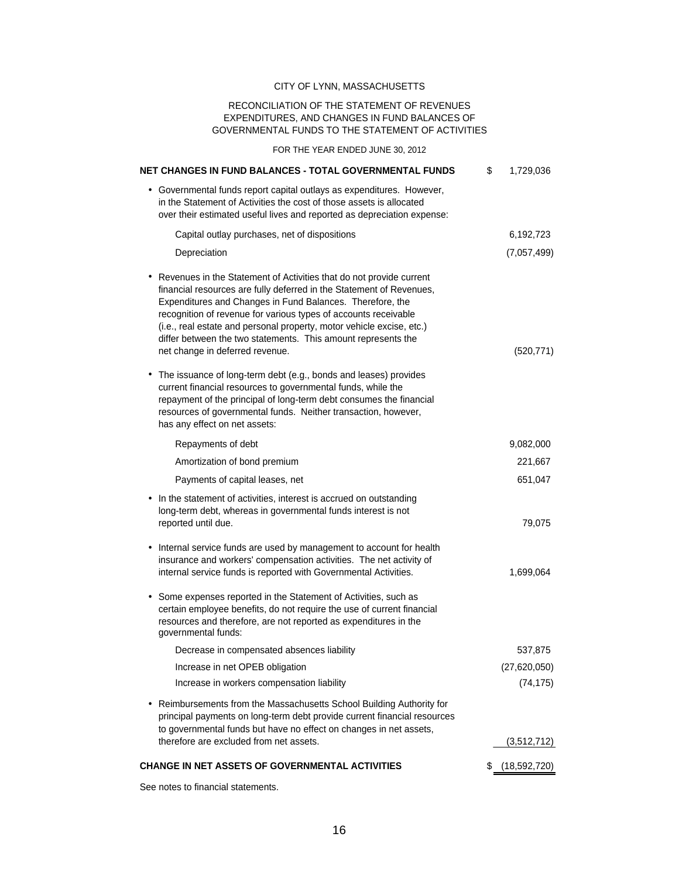#### RECONCILIATION OF THE STATEMENT OF REVENUES EXPENDITURES, AND CHANGES IN FUND BALANCES OF GOVERNMENTAL FUNDS TO THE STATEMENT OF ACTIVITIES

#### FOR THE YEAR ENDED JUNE 30, 2012

| NET CHANGES IN FUND BALANCES - TOTAL GOVERNMENTAL FUNDS                                                                                                                                                                                                                                                                                                                                                                                                    | \$<br>1,729,036 |
|------------------------------------------------------------------------------------------------------------------------------------------------------------------------------------------------------------------------------------------------------------------------------------------------------------------------------------------------------------------------------------------------------------------------------------------------------------|-----------------|
| • Governmental funds report capital outlays as expenditures. However,<br>in the Statement of Activities the cost of those assets is allocated<br>over their estimated useful lives and reported as depreciation expense:                                                                                                                                                                                                                                   |                 |
| Capital outlay purchases, net of dispositions                                                                                                                                                                                                                                                                                                                                                                                                              | 6,192,723       |
| Depreciation                                                                                                                                                                                                                                                                                                                                                                                                                                               | (7,057,499)     |
| • Revenues in the Statement of Activities that do not provide current<br>financial resources are fully deferred in the Statement of Revenues,<br>Expenditures and Changes in Fund Balances. Therefore, the<br>recognition of revenue for various types of accounts receivable<br>(i.e., real estate and personal property, motor vehicle excise, etc.)<br>differ between the two statements. This amount represents the<br>net change in deferred revenue. | (520, 771)      |
| • The issuance of long-term debt (e.g., bonds and leases) provides<br>current financial resources to governmental funds, while the<br>repayment of the principal of long-term debt consumes the financial<br>resources of governmental funds. Neither transaction, however,<br>has any effect on net assets:                                                                                                                                               |                 |
| Repayments of debt                                                                                                                                                                                                                                                                                                                                                                                                                                         | 9,082,000       |
| Amortization of bond premium                                                                                                                                                                                                                                                                                                                                                                                                                               | 221,667         |
| Payments of capital leases, net                                                                                                                                                                                                                                                                                                                                                                                                                            | 651,047         |
| In the statement of activities, interest is accrued on outstanding<br>long-term debt, whereas in governmental funds interest is not<br>reported until due.                                                                                                                                                                                                                                                                                                 | 79,075          |
| • Internal service funds are used by management to account for health<br>insurance and workers' compensation activities. The net activity of<br>internal service funds is reported with Governmental Activities.                                                                                                                                                                                                                                           | 1,699,064       |
| Some expenses reported in the Statement of Activities, such as<br>٠<br>certain employee benefits, do not require the use of current financial<br>resources and therefore, are not reported as expenditures in the<br>governmental funds:                                                                                                                                                                                                                   |                 |
| Decrease in compensated absences liability                                                                                                                                                                                                                                                                                                                                                                                                                 | 537,875         |
| Increase in net OPEB obligation                                                                                                                                                                                                                                                                                                                                                                                                                            | (27, 620, 050)  |
| Increase in workers compensation liability                                                                                                                                                                                                                                                                                                                                                                                                                 | (74, 175)       |
| Reimbursements from the Massachusetts School Building Authority for<br>principal payments on long-term debt provide current financial resources<br>to governmental funds but have no effect on changes in net assets,<br>therefore are excluded from net assets.                                                                                                                                                                                           | (3,512,712)     |
|                                                                                                                                                                                                                                                                                                                                                                                                                                                            |                 |
| CHANGE IN NET ASSETS OF GOVERNMENTAL ACTIVITIES                                                                                                                                                                                                                                                                                                                                                                                                            | \$ (18,592,720) |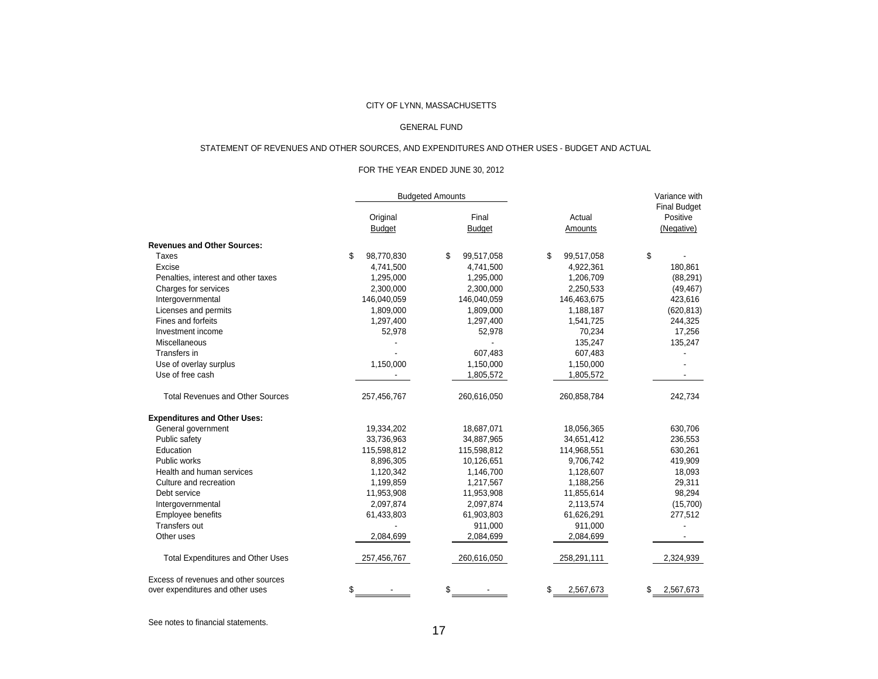#### GENERAL FUND

#### STATEMENT OF REVENUES AND OTHER SOURCES, AND EXPENDITURES AND OTHER USES - BUDGET AND ACTUAL

#### FOR THE YEAR ENDED JUNE 30, 2012

|                                          |                  | <b>Budgeted Amounts</b> |                  | Variance with                   |
|------------------------------------------|------------------|-------------------------|------------------|---------------------------------|
|                                          | Original         | Final                   | Actual           | <b>Final Budget</b><br>Positive |
|                                          | <b>Budget</b>    | <b>Budget</b>           | Amounts          | (Negative)                      |
| <b>Revenues and Other Sources:</b>       |                  |                         |                  |                                 |
| Taxes                                    | \$<br>98,770,830 | \$<br>99,517,058        | 99,517,058<br>\$ | \$                              |
| Excise                                   | 4,741,500        | 4,741,500               | 4,922,361        | 180,861                         |
| Penalties, interest and other taxes      | 1,295,000        | 1,295,000               | 1,206,709        | (88, 291)                       |
| Charges for services                     | 2,300,000        | 2,300,000               | 2,250,533        | (49, 467)                       |
| Intergovernmental                        | 146,040,059      | 146,040,059             | 146,463,675      | 423,616                         |
| Licenses and permits                     | 1,809,000        | 1,809,000               | 1,188,187        | (620, 813)                      |
| Fines and forfeits                       | 1,297,400        | 1,297,400               | 1,541,725        | 244,325                         |
| Investment income                        | 52,978           | 52,978                  | 70,234           | 17,256                          |
| Miscellaneous                            |                  |                         | 135,247          | 135,247                         |
| Transfers in                             |                  | 607,483                 | 607,483          |                                 |
| Use of overlay surplus                   | 1,150,000        | 1,150,000               | 1,150,000        |                                 |
| Use of free cash                         |                  | 1,805,572               | 1,805,572        |                                 |
| <b>Total Revenues and Other Sources</b>  | 257,456,767      | 260,616,050             | 260,858,784      | 242,734                         |
| <b>Expenditures and Other Uses:</b>      |                  |                         |                  |                                 |
| General government                       | 19,334,202       | 18,687,071              | 18,056,365       | 630,706                         |
| Public safety                            | 33,736,963       | 34,887,965              | 34,651,412       | 236,553                         |
| Education                                | 115,598,812      | 115,598,812             | 114,968,551      | 630,261                         |
| Public works                             | 8,896,305        | 10,126,651              | 9,706,742        | 419,909                         |
| Health and human services                | 1,120,342        | 1,146,700               | 1,128,607        | 18,093                          |
| Culture and recreation                   | 1,199,859        | 1,217,567               | 1,188,256        | 29,311                          |
| Debt service                             | 11,953,908       | 11,953,908              | 11,855,614       | 98,294                          |
| Intergovernmental                        | 2,097,874        | 2,097,874               | 2,113,574        | (15,700)                        |
| Employee benefits                        | 61,433,803       | 61,903,803              | 61,626,291       | 277,512                         |
| Transfers out                            |                  | 911,000                 | 911,000          |                                 |
| Other uses                               | 2,084,699        | 2,084,699               | 2,084,699        |                                 |
| <b>Total Expenditures and Other Uses</b> | 257,456,767      | 260,616,050             | 258,291,111      | 2,324,939                       |
| Excess of revenues and other sources     |                  |                         |                  |                                 |
| over expenditures and other uses         | \$               | \$                      | 2,567,673<br>\$  | 2,567,673<br>\$                 |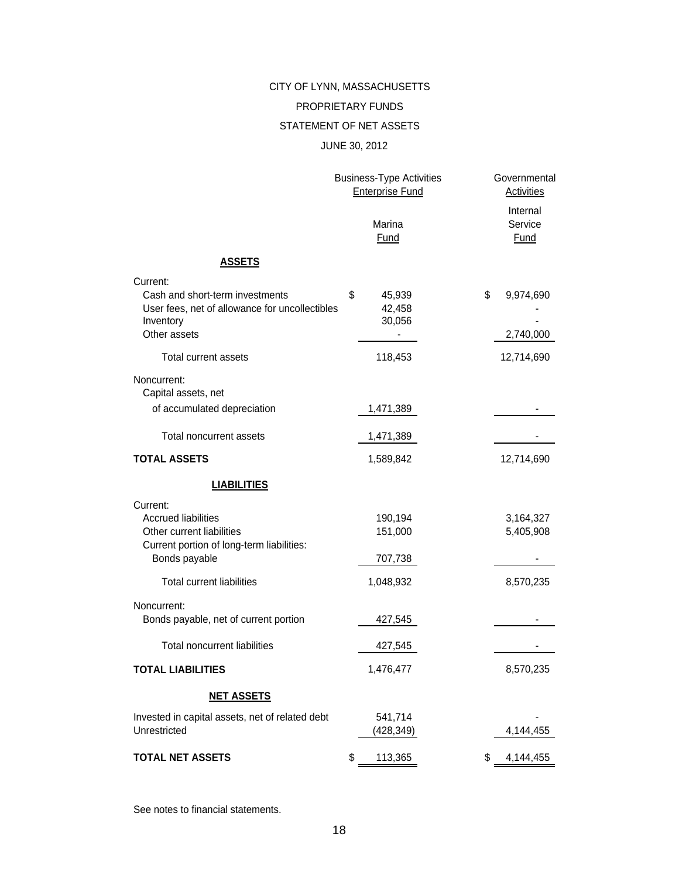#### PROPRIETARY FUNDS

#### STATEMENT OF NET ASSETS

#### JUNE 30, 2012

|                                                                                                                                   | <b>Business-Type Activities</b><br><b>Enterprise Fund</b> | Governmental<br>Activities   |
|-----------------------------------------------------------------------------------------------------------------------------------|-----------------------------------------------------------|------------------------------|
|                                                                                                                                   | Marina<br>Fund                                            | Internal<br>Service<br>Fund  |
| <b>ASSETS</b>                                                                                                                     |                                                           |                              |
| Current:<br>Cash and short-term investments<br>User fees, net of allowance for uncollectibles<br>Inventory<br>Other assets        | \$<br>45,939<br>42,458<br>30,056                          | \$<br>9,974,690<br>2,740,000 |
| Total current assets                                                                                                              | 118,453                                                   | 12,714,690                   |
| Noncurrent:<br>Capital assets, net<br>of accumulated depreciation                                                                 | 1,471,389                                                 |                              |
| Total noncurrent assets                                                                                                           | 1,471,389                                                 |                              |
| <b>TOTAL ASSETS</b>                                                                                                               | 1,589,842                                                 | 12,714,690                   |
| <b>LIABILITIES</b>                                                                                                                |                                                           |                              |
| Current:<br><b>Accrued liabilities</b><br>Other current liabilities<br>Current portion of long-term liabilities:<br>Bonds payable | 190,194<br>151,000<br>707,738                             | 3,164,327<br>5,405,908       |
| <b>Total current liabilities</b>                                                                                                  | 1,048,932                                                 | 8,570,235                    |
| Noncurrent:<br>Bonds payable, net of current portion                                                                              | 427,545                                                   |                              |
| <b>Total noncurrent liabilities</b>                                                                                               | 427,545                                                   |                              |
| <b>TOTAL LIABILITIES</b>                                                                                                          | 1,476,477                                                 | 8,570,235                    |
| <b>NET ASSETS</b>                                                                                                                 |                                                           |                              |
| Invested in capital assets, net of related debt<br>Unrestricted                                                                   | 541,714<br>(428, 349)                                     | 4,144,455                    |
| <b>TOTAL NET ASSETS</b>                                                                                                           | \$<br>113,365                                             | \$<br>4,144,455              |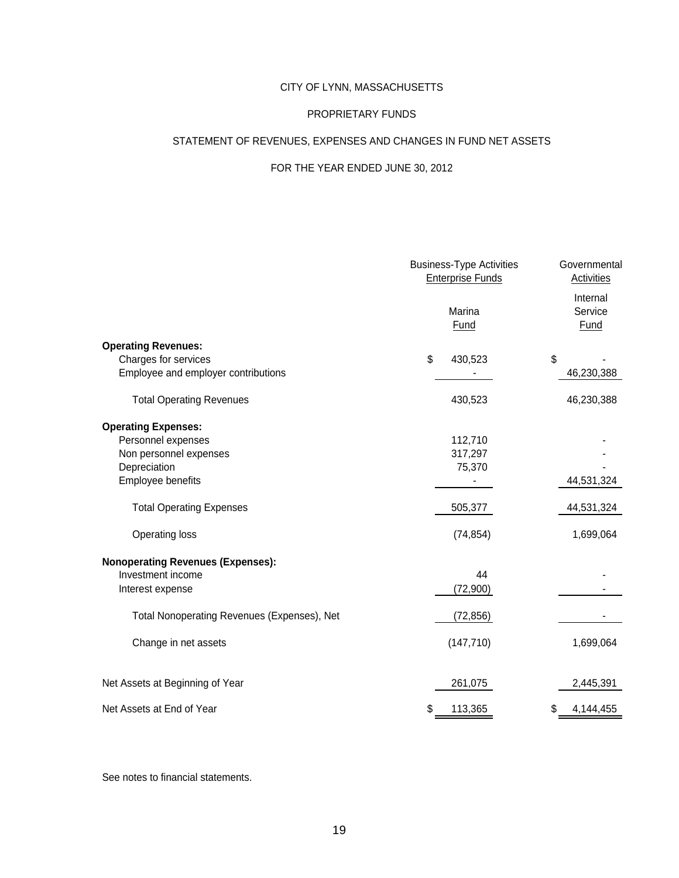#### PROPRIETARY FUNDS

#### STATEMENT OF REVENUES, EXPENSES AND CHANGES IN FUND NET ASSETS

#### FOR THE YEAR ENDED JUNE 30, 2012

|                                             | <b>Business-Type Activities</b><br><b>Enterprise Funds</b> | Governmental<br>Activities  |
|---------------------------------------------|------------------------------------------------------------|-----------------------------|
|                                             | Marina<br>Fund                                             | Internal<br>Service<br>Fund |
| <b>Operating Revenues:</b>                  |                                                            |                             |
| Charges for services                        | \$<br>430,523                                              | \$                          |
| Employee and employer contributions         |                                                            | 46,230,388                  |
| <b>Total Operating Revenues</b>             | 430,523                                                    | 46,230,388                  |
| <b>Operating Expenses:</b>                  |                                                            |                             |
| Personnel expenses                          | 112,710                                                    |                             |
| Non personnel expenses                      | 317,297                                                    |                             |
| Depreciation                                | 75,370                                                     |                             |
| Employee benefits                           |                                                            | 44,531,324                  |
| <b>Total Operating Expenses</b>             | 505,377                                                    | 44,531,324                  |
| Operating loss                              | (74, 854)                                                  | 1,699,064                   |
| <b>Nonoperating Revenues (Expenses):</b>    |                                                            |                             |
| Investment income                           | 44                                                         |                             |
| Interest expense                            | (72,900)                                                   |                             |
| Total Nonoperating Revenues (Expenses), Net | (72, 856)                                                  |                             |
| Change in net assets                        | (147, 710)                                                 | 1,699,064                   |
| Net Assets at Beginning of Year             | 261,075                                                    | 2,445,391                   |
| Net Assets at End of Year                   | 113,365<br>\$                                              | \$<br>4,144,455             |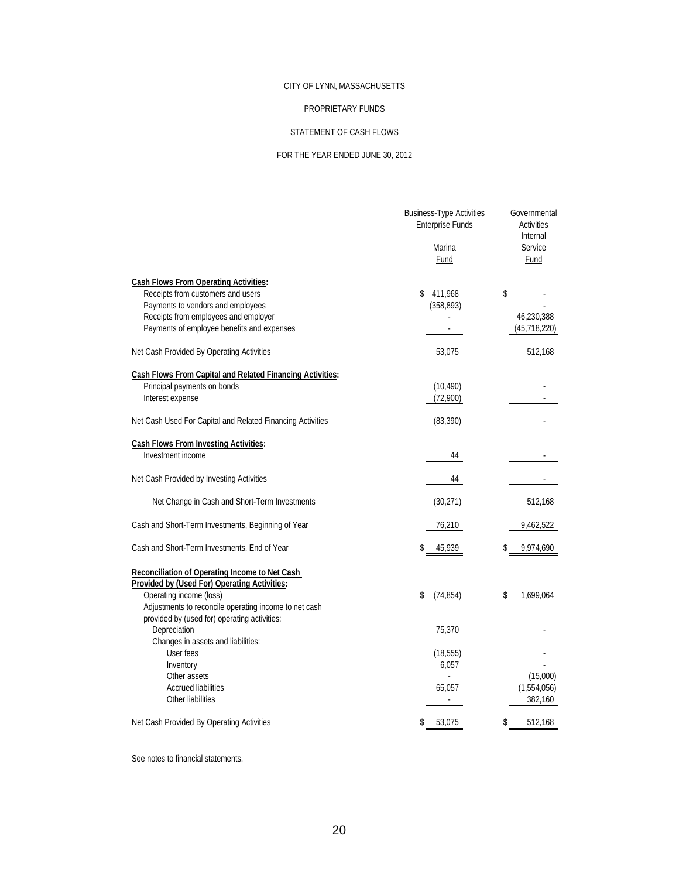#### PROPRIETARY FUNDS

#### STATEMENT OF CASH FLOWS

#### FOR THE YEAR ENDED JUNE 30, 2012

|                                                                                   | <b>Business-Type Activities</b><br><b>Enterprise Funds</b><br>Marina<br>Fund | Governmental<br><b>Activities</b><br>Internal<br>Service<br>Fund |
|-----------------------------------------------------------------------------------|------------------------------------------------------------------------------|------------------------------------------------------------------|
| <b>Cash Flows From Operating Activities:</b><br>Receipts from customers and users | \$<br>411,968                                                                | \$                                                               |
| Payments to vendors and employees                                                 | (358, 893)                                                                   |                                                                  |
| Receipts from employees and employer                                              |                                                                              | 46,230,388                                                       |
| Payments of employee benefits and expenses                                        |                                                                              | (45,718,220)                                                     |
| Net Cash Provided By Operating Activities                                         | 53,075                                                                       | 512,168                                                          |
| <b>Cash Flows From Capital and Related Financing Activities:</b>                  |                                                                              |                                                                  |
| Principal payments on bonds                                                       | (10, 490)                                                                    |                                                                  |
| Interest expense                                                                  | (72,900)                                                                     |                                                                  |
| Net Cash Used For Capital and Related Financing Activities                        | (83, 390)                                                                    |                                                                  |
| <b>Cash Flows From Investing Activities:</b>                                      |                                                                              |                                                                  |
| Investment income                                                                 | 44                                                                           |                                                                  |
| Net Cash Provided by Investing Activities                                         | 44                                                                           |                                                                  |
| Net Change in Cash and Short-Term Investments                                     | (30, 271)                                                                    | 512,168                                                          |
| Cash and Short-Term Investments, Beginning of Year                                | 76,210                                                                       | 9,462,522                                                        |
| Cash and Short-Term Investments, End of Year                                      | \$<br>45,939                                                                 | 9,974,690                                                        |
| Reconciliation of Operating Income to Net Cash                                    |                                                                              |                                                                  |
| Provided by (Used For) Operating Activities:                                      |                                                                              |                                                                  |
| Operating income (loss)                                                           | \$<br>(74, 854)                                                              | \$<br>1,699,064                                                  |
| Adjustments to reconcile operating income to net cash                             |                                                                              |                                                                  |
| provided by (used for) operating activities:<br>Depreciation                      | 75,370                                                                       |                                                                  |
| Changes in assets and liabilities:                                                |                                                                              |                                                                  |
| User fees                                                                         | (18, 555)                                                                    |                                                                  |
| Inventory                                                                         | 6,057                                                                        |                                                                  |
| Other assets                                                                      |                                                                              | (15,000)                                                         |
| <b>Accrued liabilities</b>                                                        | 65,057                                                                       | (1,554,056)                                                      |
| Other liabilities                                                                 | $\overline{\phantom{a}}$                                                     | 382,160                                                          |
| Net Cash Provided By Operating Activities                                         | \$<br>53,075                                                                 | 512,168<br>\$                                                    |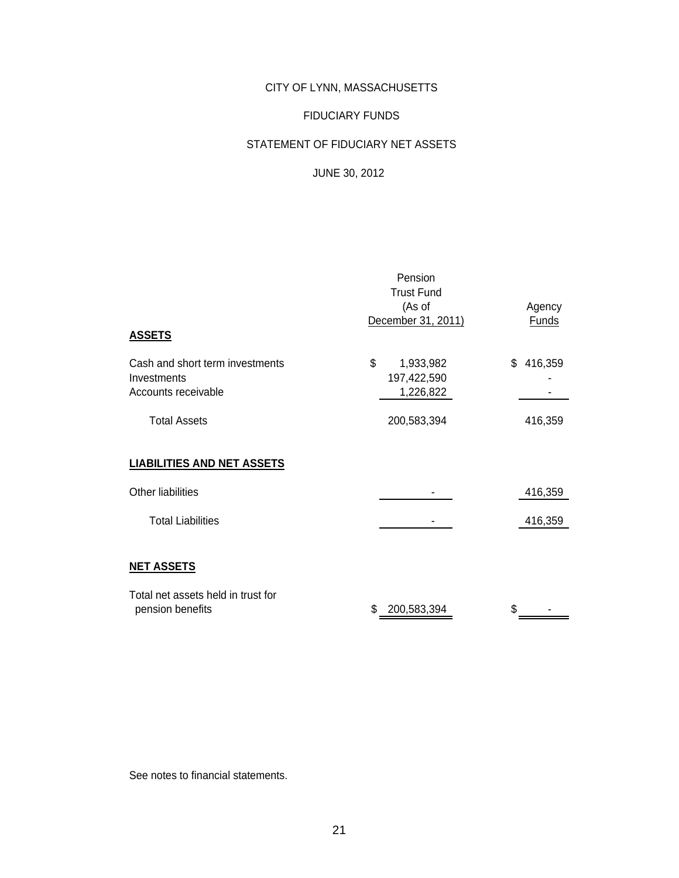#### FIDUCIARY FUNDS

#### STATEMENT OF FIDUCIARY NET ASSETS

### JUNE 30, 2012

|                                    | Pension            |               |
|------------------------------------|--------------------|---------------|
|                                    | <b>Trust Fund</b>  |               |
|                                    | (As of             | Agency        |
| <b>ASSETS</b>                      | December 31, 2011) | <b>Funds</b>  |
| Cash and short term investments    | \$<br>1,933,982    | 416,359<br>\$ |
| Investments                        | 197,422,590        |               |
| Accounts receivable                | 1,226,822          |               |
| <b>Total Assets</b>                | 200,583,394        | 416,359       |
| <b>LIABILITIES AND NET ASSETS</b>  |                    |               |
| <b>Other liabilities</b>           |                    | 416,359       |
| <b>Total Liabilities</b>           |                    | 416,359       |
|                                    |                    |               |
| <b>NET ASSETS</b>                  |                    |               |
| Total net assets held in trust for |                    |               |
| pension benefits                   | S<br>200,583,394   |               |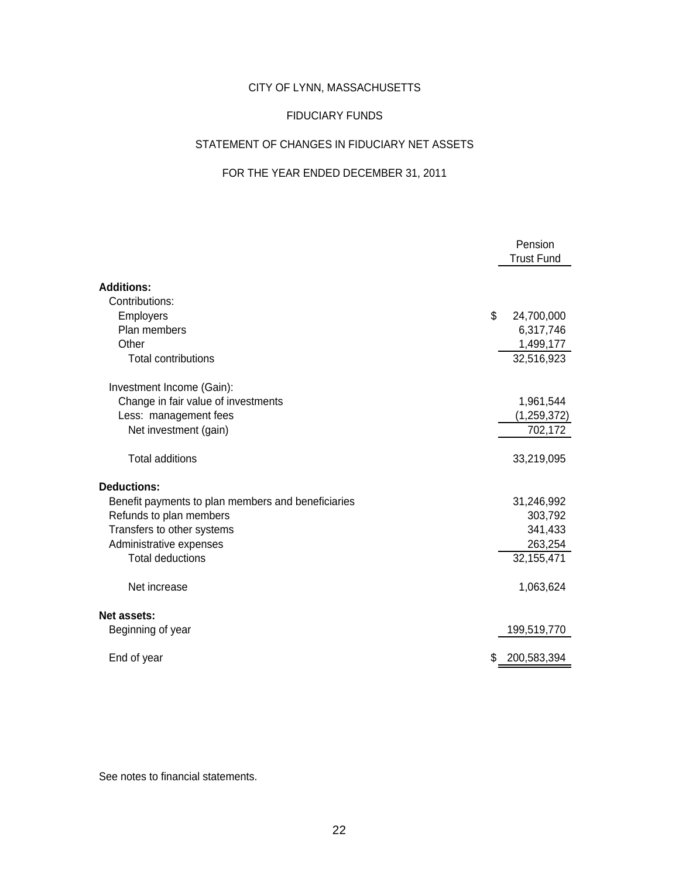#### FIDUCIARY FUNDS

#### STATEMENT OF CHANGES IN FIDUCIARY NET ASSETS

# FOR THE YEAR ENDED DECEMBER 31, 2011

|                                                    | Pension<br><b>Trust Fund</b> |
|----------------------------------------------------|------------------------------|
| <b>Additions:</b>                                  |                              |
| Contributions:                                     |                              |
| \$<br>Employers                                    | 24,700,000                   |
| Plan members                                       | 6,317,746                    |
| Other                                              | 1,499,177                    |
| <b>Total contributions</b>                         | 32,516,923                   |
| Investment Income (Gain):                          |                              |
| Change in fair value of investments                | 1,961,544                    |
| Less: management fees                              | (1, 259, 372)                |
| Net investment (gain)                              | 702,172                      |
| <b>Total additions</b>                             | 33,219,095                   |
| <b>Deductions:</b>                                 |                              |
| Benefit payments to plan members and beneficiaries | 31,246,992                   |
| Refunds to plan members                            | 303,792                      |
| Transfers to other systems                         | 341,433                      |
| Administrative expenses                            | 263,254                      |
| <b>Total deductions</b>                            | 32, 155, 471                 |
| Net increase                                       | 1,063,624                    |
| Net assets:                                        |                              |
| Beginning of year                                  | 199,519,770                  |
| End of year<br>\$                                  | 200,583,394                  |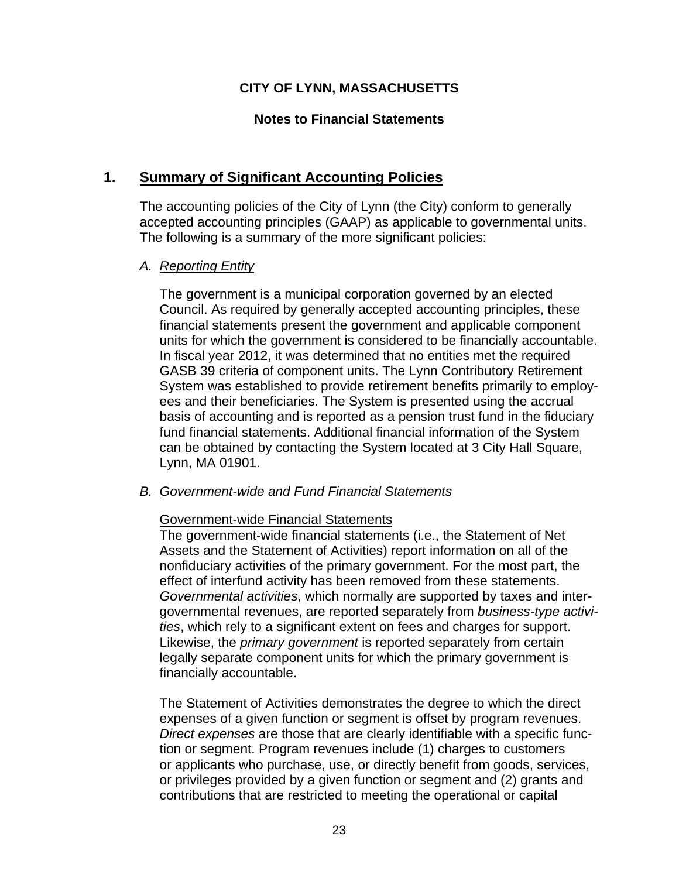## **Notes to Financial Statements**

# **1. Summary of Significant Accounting Policies**

The accounting policies of the City of Lynn (the City) conform to generally accepted accounting principles (GAAP) as applicable to governmental units. The following is a summary of the more significant policies:

## *A. Reporting Entity*

The government is a municipal corporation governed by an elected Council. As required by generally accepted accounting principles, these financial statements present the government and applicable component units for which the government is considered to be financially accountable. In fiscal year 2012, it was determined that no entities met the required GASB 39 criteria of component units. The Lynn Contributory Retirement System was established to provide retirement benefits primarily to employees and their beneficiaries. The System is presented using the accrual basis of accounting and is reported as a pension trust fund in the fiduciary fund financial statements. Additional financial information of the System can be obtained by contacting the System located at 3 City Hall Square, Lynn, MA 01901.

### *B. Government-wide and Fund Financial Statements*

### Government-wide Financial Statements

The government-wide financial statements (i.e., the Statement of Net Assets and the Statement of Activities) report information on all of the nonfiduciary activities of the primary government. For the most part, the effect of interfund activity has been removed from these statements. *Governmental activities*, which normally are supported by taxes and intergovernmental revenues, are reported separately from *business-type activities*, which rely to a significant extent on fees and charges for support. Likewise, the *primary government* is reported separately from certain legally separate component units for which the primary government is financially accountable.

The Statement of Activities demonstrates the degree to which the direct expenses of a given function or segment is offset by program revenues. *Direct expenses* are those that are clearly identifiable with a specific function or segment. Program revenues include (1) charges to customers or applicants who purchase, use, or directly benefit from goods, services, or privileges provided by a given function or segment and (2) grants and contributions that are restricted to meeting the operational or capital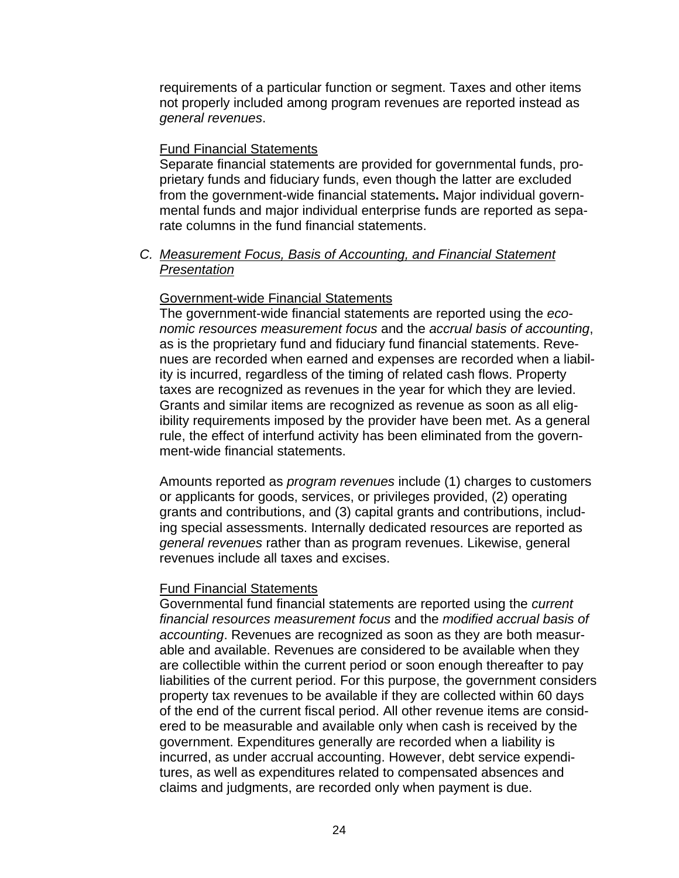requirements of a particular function or segment. Taxes and other items not properly included among program revenues are reported instead as *general revenues*.

#### Fund Financial Statements

Separate financial statements are provided for governmental funds, proprietary funds and fiduciary funds, even though the latter are excluded from the government-wide financial statements**.** Major individual governmental funds and major individual enterprise funds are reported as separate columns in the fund financial statements.

### *C. Measurement Focus, Basis of Accounting, and Financial Statement Presentation*

### Government-wide Financial Statements

The government-wide financial statements are reported using the *economic resources measurement focus* and the *accrual basis of accounting*, as is the proprietary fund and fiduciary fund financial statements. Revenues are recorded when earned and expenses are recorded when a liability is incurred, regardless of the timing of related cash flows. Property taxes are recognized as revenues in the year for which they are levied. Grants and similar items are recognized as revenue as soon as all eligibility requirements imposed by the provider have been met. As a general rule, the effect of interfund activity has been eliminated from the government-wide financial statements.

Amounts reported as *program revenues* include (1) charges to customers or applicants for goods, services, or privileges provided, (2) operating grants and contributions, and (3) capital grants and contributions, including special assessments. Internally dedicated resources are reported as *general revenues* rather than as program revenues. Likewise, general revenues include all taxes and excises.

### Fund Financial Statements

Governmental fund financial statements are reported using the *current financial resources measurement focus* and the *modified accrual basis of accounting*. Revenues are recognized as soon as they are both measurable and available. Revenues are considered to be available when they are collectible within the current period or soon enough thereafter to pay liabilities of the current period. For this purpose, the government considers property tax revenues to be available if they are collected within 60 days of the end of the current fiscal period. All other revenue items are considered to be measurable and available only when cash is received by the government. Expenditures generally are recorded when a liability is incurred, as under accrual accounting. However, debt service expenditures, as well as expenditures related to compensated absences and claims and judgments, are recorded only when payment is due.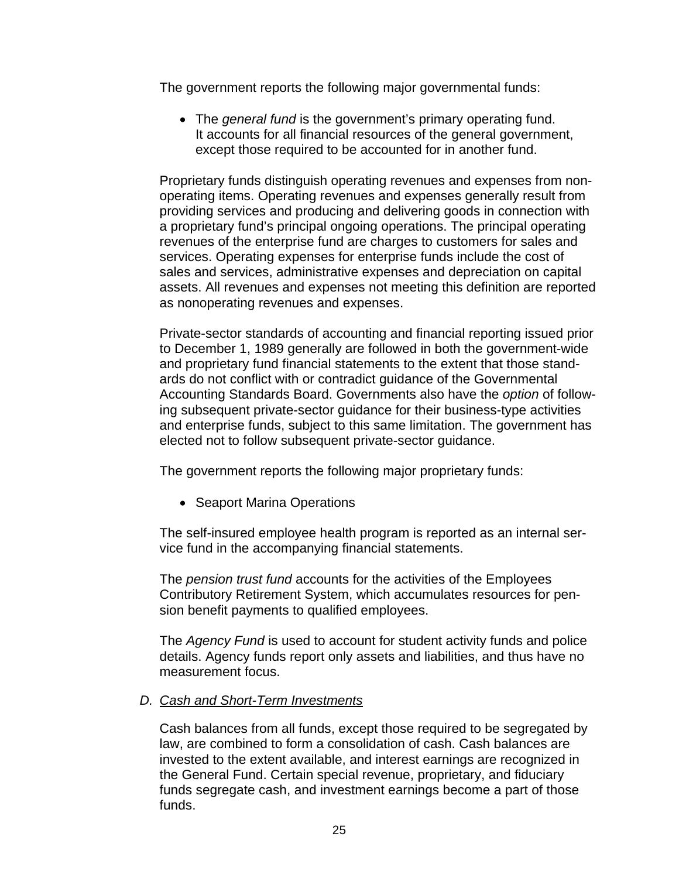The government reports the following major governmental funds:

 The *general fund* is the government's primary operating fund. It accounts for all financial resources of the general government, except those required to be accounted for in another fund.

Proprietary funds distinguish operating revenues and expenses from nonoperating items. Operating revenues and expenses generally result from providing services and producing and delivering goods in connection with a proprietary fund's principal ongoing operations. The principal operating revenues of the enterprise fund are charges to customers for sales and services. Operating expenses for enterprise funds include the cost of sales and services, administrative expenses and depreciation on capital assets. All revenues and expenses not meeting this definition are reported as nonoperating revenues and expenses.

Private-sector standards of accounting and financial reporting issued prior to December 1, 1989 generally are followed in both the government-wide and proprietary fund financial statements to the extent that those standards do not conflict with or contradict guidance of the Governmental Accounting Standards Board. Governments also have the *option* of following subsequent private-sector guidance for their business-type activities and enterprise funds, subject to this same limitation. The government has elected not to follow subsequent private-sector guidance.

The government reports the following major proprietary funds:

• Seaport Marina Operations

The self-insured employee health program is reported as an internal service fund in the accompanying financial statements.

The *pension trust fund* accounts for the activities of the Employees Contributory Retirement System, which accumulates resources for pension benefit payments to qualified employees.

The *Agency Fund* is used to account for student activity funds and police details. Agency funds report only assets and liabilities, and thus have no measurement focus.

### *D. Cash and Short-Term Investments*

Cash balances from all funds, except those required to be segregated by law, are combined to form a consolidation of cash. Cash balances are invested to the extent available, and interest earnings are recognized in the General Fund. Certain special revenue, proprietary, and fiduciary funds segregate cash, and investment earnings become a part of those funds.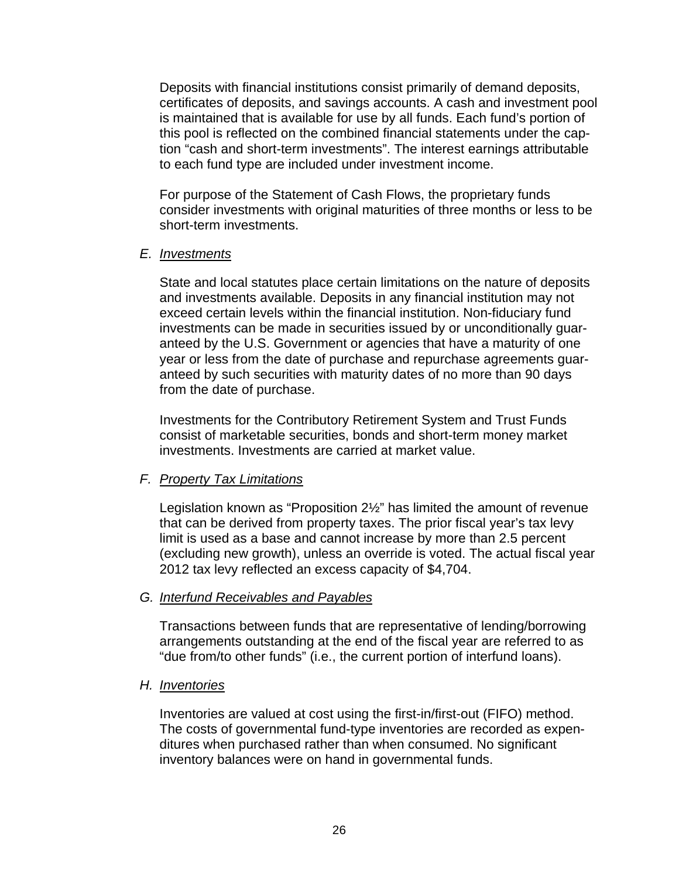Deposits with financial institutions consist primarily of demand deposits, certificates of deposits, and savings accounts. A cash and investment pool is maintained that is available for use by all funds. Each fund's portion of this pool is reflected on the combined financial statements under the caption "cash and short-term investments". The interest earnings attributable to each fund type are included under investment income.

For purpose of the Statement of Cash Flows, the proprietary funds consider investments with original maturities of three months or less to be short-term investments.

#### *E. Investments*

State and local statutes place certain limitations on the nature of deposits and investments available. Deposits in any financial institution may not exceed certain levels within the financial institution. Non-fiduciary fund investments can be made in securities issued by or unconditionally guaranteed by the U.S. Government or agencies that have a maturity of one year or less from the date of purchase and repurchase agreements guaranteed by such securities with maturity dates of no more than 90 days from the date of purchase.

Investments for the Contributory Retirement System and Trust Funds consist of marketable securities, bonds and short-term money market investments. Investments are carried at market value.

### *F. Property Tax Limitations*

Legislation known as "Proposition 2½" has limited the amount of revenue that can be derived from property taxes. The prior fiscal year's tax levy limit is used as a base and cannot increase by more than 2.5 percent (excluding new growth), unless an override is voted. The actual fiscal year 2012 tax levy reflected an excess capacity of \$4,704.

### *G. Interfund Receivables and Payables*

Transactions between funds that are representative of lending/borrowing arrangements outstanding at the end of the fiscal year are referred to as "due from/to other funds" (i.e., the current portion of interfund loans).

### *H. Inventories*

Inventories are valued at cost using the first-in/first-out (FIFO) method. The costs of governmental fund-type inventories are recorded as expenditures when purchased rather than when consumed. No significant inventory balances were on hand in governmental funds.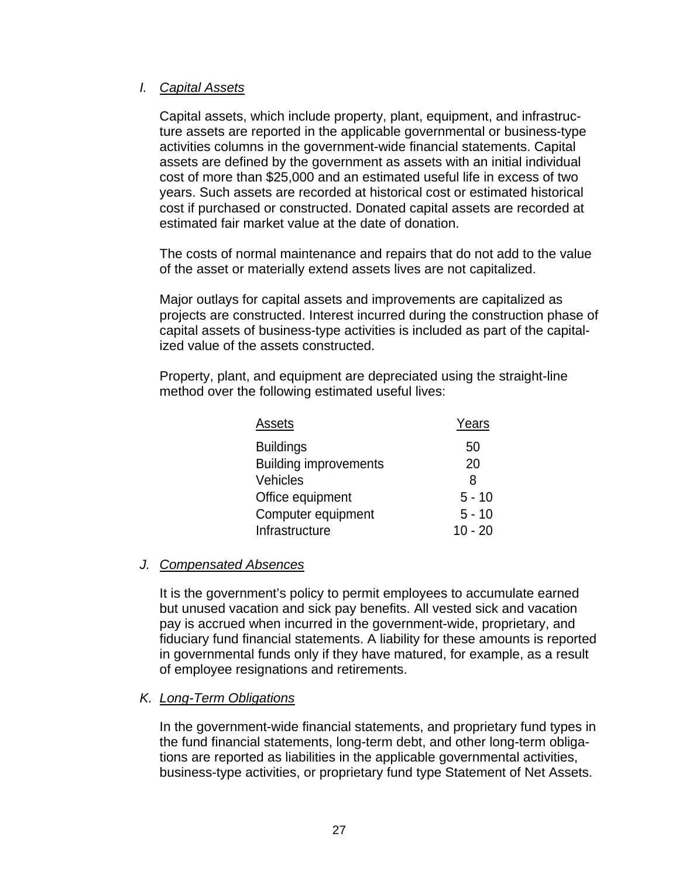## *I. Capital Assets*

Capital assets, which include property, plant, equipment, and infrastructure assets are reported in the applicable governmental or business-type activities columns in the government-wide financial statements. Capital assets are defined by the government as assets with an initial individual cost of more than \$25,000 and an estimated useful life in excess of two years. Such assets are recorded at historical cost or estimated historical cost if purchased or constructed. Donated capital assets are recorded at estimated fair market value at the date of donation.

The costs of normal maintenance and repairs that do not add to the value of the asset or materially extend assets lives are not capitalized.

Major outlays for capital assets and improvements are capitalized as projects are constructed. Interest incurred during the construction phase of capital assets of business-type activities is included as part of the capitalized value of the assets constructed.

Property, plant, and equipment are depreciated using the straight-line method over the following estimated useful lives:

| Assets                       | Years     |
|------------------------------|-----------|
| <b>Buildings</b>             | 50        |
| <b>Building improvements</b> | 20        |
| Vehicles                     | 8         |
| Office equipment             | $5 - 10$  |
| Computer equipment           | $5 - 10$  |
| Infrastructure               | $10 - 20$ |

### *J. Compensated Absences*

It is the government's policy to permit employees to accumulate earned but unused vacation and sick pay benefits. All vested sick and vacation pay is accrued when incurred in the government-wide, proprietary, and fiduciary fund financial statements. A liability for these amounts is reported in governmental funds only if they have matured, for example, as a result of employee resignations and retirements.

### *K. Long-Term Obligations*

In the government-wide financial statements, and proprietary fund types in the fund financial statements, long-term debt, and other long-term obligations are reported as liabilities in the applicable governmental activities, business-type activities, or proprietary fund type Statement of Net Assets.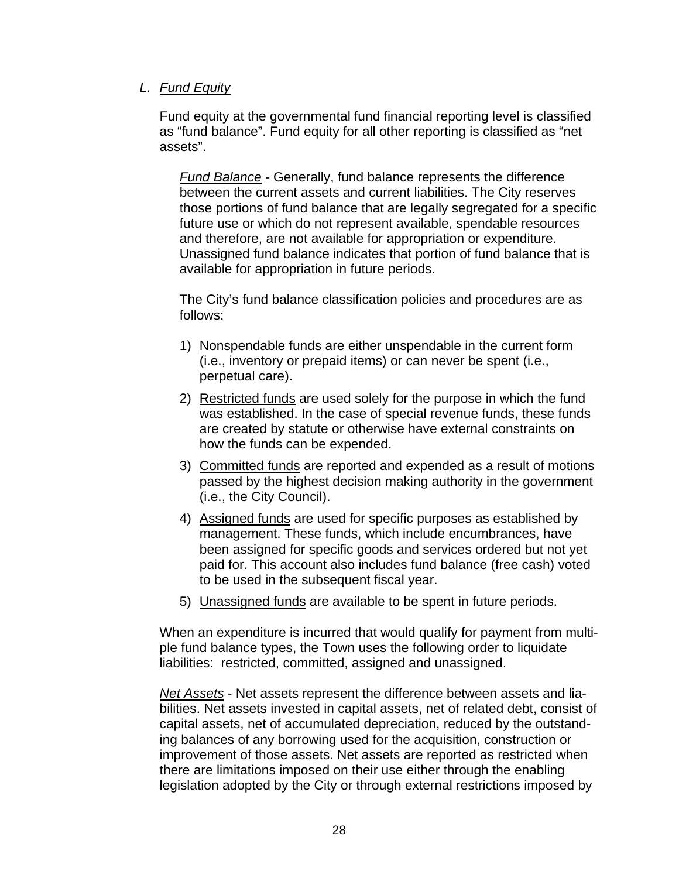## *L. Fund Equity*

Fund equity at the governmental fund financial reporting level is classified as "fund balance". Fund equity for all other reporting is classified as "net assets".

*Fund Balance* - Generally, fund balance represents the difference between the current assets and current liabilities. The City reserves those portions of fund balance that are legally segregated for a specific future use or which do not represent available, spendable resources and therefore, are not available for appropriation or expenditure. Unassigned fund balance indicates that portion of fund balance that is available for appropriation in future periods.

The City's fund balance classification policies and procedures are as follows:

- 1) Nonspendable funds are either unspendable in the current form (i.e., inventory or prepaid items) or can never be spent (i.e., perpetual care).
- 2) Restricted funds are used solely for the purpose in which the fund was established. In the case of special revenue funds, these funds are created by statute or otherwise have external constraints on how the funds can be expended.
- 3) Committed funds are reported and expended as a result of motions passed by the highest decision making authority in the government (i.e., the City Council).
- 4) Assigned funds are used for specific purposes as established by management. These funds, which include encumbrances, have been assigned for specific goods and services ordered but not yet paid for. This account also includes fund balance (free cash) voted to be used in the subsequent fiscal year.
- 5) Unassigned funds are available to be spent in future periods.

When an expenditure is incurred that would qualify for payment from multiple fund balance types, the Town uses the following order to liquidate liabilities: restricted, committed, assigned and unassigned.

*Net Assets* - Net assets represent the difference between assets and liabilities. Net assets invested in capital assets, net of related debt, consist of capital assets, net of accumulated depreciation, reduced by the outstanding balances of any borrowing used for the acquisition, construction or improvement of those assets. Net assets are reported as restricted when there are limitations imposed on their use either through the enabling legislation adopted by the City or through external restrictions imposed by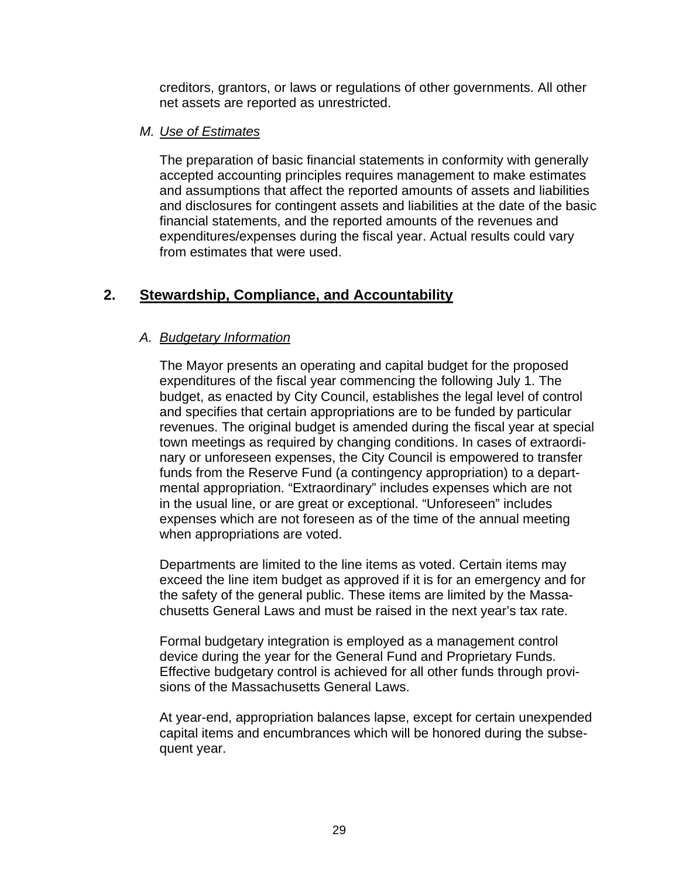creditors, grantors, or laws or regulations of other governments. All other net assets are reported as unrestricted.

#### *M. Use of Estimates*

The preparation of basic financial statements in conformity with generally accepted accounting principles requires management to make estimates and assumptions that affect the reported amounts of assets and liabilities and disclosures for contingent assets and liabilities at the date of the basic financial statements, and the reported amounts of the revenues and expenditures/expenses during the fiscal year. Actual results could vary from estimates that were used.

# **2. Stewardship, Compliance, and Accountability**

## *A. Budgetary Information*

The Mayor presents an operating and capital budget for the proposed expenditures of the fiscal year commencing the following July 1. The budget, as enacted by City Council, establishes the legal level of control and specifies that certain appropriations are to be funded by particular revenues. The original budget is amended during the fiscal year at special town meetings as required by changing conditions. In cases of extraordinary or unforeseen expenses, the City Council is empowered to transfer funds from the Reserve Fund (a contingency appropriation) to a departmental appropriation. "Extraordinary" includes expenses which are not in the usual line, or are great or exceptional. "Unforeseen" includes expenses which are not foreseen as of the time of the annual meeting when appropriations are voted.

Departments are limited to the line items as voted. Certain items may exceed the line item budget as approved if it is for an emergency and for the safety of the general public. These items are limited by the Massachusetts General Laws and must be raised in the next year's tax rate.

Formal budgetary integration is employed as a management control device during the year for the General Fund and Proprietary Funds. Effective budgetary control is achieved for all other funds through provisions of the Massachusetts General Laws.

At year-end, appropriation balances lapse, except for certain unexpended capital items and encumbrances which will be honored during the subsequent year.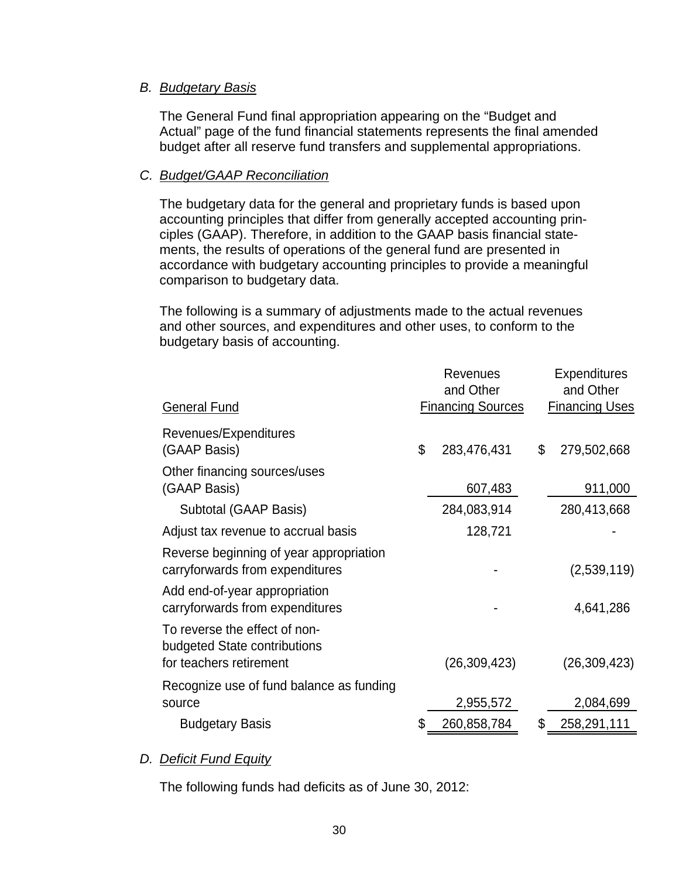### *B. Budgetary Basis*

The General Fund final appropriation appearing on the "Budget and Actual" page of the fund financial statements represents the final amended budget after all reserve fund transfers and supplemental appropriations.

### *C. Budget/GAAP Reconciliation*

The budgetary data for the general and proprietary funds is based upon accounting principles that differ from generally accepted accounting principles (GAAP). Therefore, in addition to the GAAP basis financial statements, the results of operations of the general fund are presented in accordance with budgetary accounting principles to provide a meaningful comparison to budgetary data.

The following is a summary of adjustments made to the actual revenues and other sources, and expenditures and other uses, to conform to the budgetary basis of accounting.

| <b>General Fund</b>                                                                      | <b>Revenues</b><br>and Other<br><b>Financing Sources</b> | <b>Expenditures</b><br>and Other<br><b>Financing Uses</b> |
|------------------------------------------------------------------------------------------|----------------------------------------------------------|-----------------------------------------------------------|
| Revenues/Expenditures                                                                    |                                                          |                                                           |
| (GAAP Basis)                                                                             | \$<br>283,476,431                                        | \$<br>279,502,668                                         |
| Other financing sources/uses<br>(GAAP Basis)                                             | 607,483                                                  | 911,000                                                   |
| Subtotal (GAAP Basis)                                                                    | 284,083,914                                              | 280,413,668                                               |
| Adjust tax revenue to accrual basis                                                      | 128,721                                                  |                                                           |
| Reverse beginning of year appropriation<br>carryforwards from expenditures               |                                                          | (2,539,119)                                               |
| Add end-of-year appropriation<br>carryforwards from expenditures                         |                                                          | 4,641,286                                                 |
| To reverse the effect of non-<br>budgeted State contributions<br>for teachers retirement | (26,309,423)                                             | (26, 309, 423)                                            |
| Recognize use of fund balance as funding<br>source                                       | 2,955,572                                                | 2,084,699                                                 |
| <b>Budgetary Basis</b>                                                                   | \$<br>260,858,784                                        | \$<br>258,291,111                                         |

# *D. Deficit Fund Equity*

The following funds had deficits as of June 30, 2012: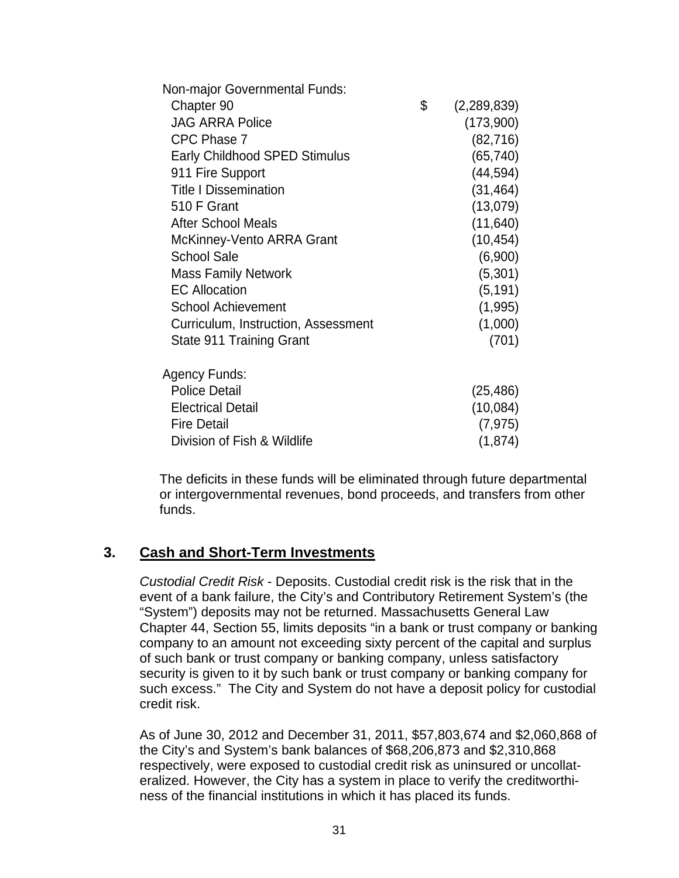| Non-major Governmental Funds:       |                   |
|-------------------------------------|-------------------|
| Chapter 90                          | \$<br>(2,289,839) |
| <b>JAG ARRA Police</b>              | (173,900)         |
| CPC Phase 7                         | (82, 716)         |
| Early Childhood SPED Stimulus       | (65, 740)         |
| 911 Fire Support                    | (44, 594)         |
| <b>Title I Dissemination</b>        | (31, 464)         |
| 510 F Grant                         | (13,079)          |
| <b>After School Meals</b>           | (11, 640)         |
| McKinney-Vento ARRA Grant           | (10, 454)         |
| <b>School Sale</b>                  | (6,900)           |
| <b>Mass Family Network</b>          | (5,301)           |
| <b>EC Allocation</b>                | (5, 191)          |
| <b>School Achievement</b>           | (1,995)           |
| Curriculum, Instruction, Assessment | (1,000)           |
| State 911 Training Grant            | (701)             |
|                                     |                   |
| Agency Funds:                       |                   |
| <b>Police Detail</b>                | (25, 486)         |
| <b>Electrical Detail</b>            | (10,084)          |
| <b>Fire Detail</b>                  | (7, 975)          |
| Division of Fish & Wildlife         | (1,874)           |
|                                     |                   |

The deficits in these funds will be eliminated through future departmental or intergovernmental revenues, bond proceeds, and transfers from other funds.

# **3. Cash and Short-Term Investments**

*Custodial Credit Risk* - Deposits. Custodial credit risk is the risk that in the event of a bank failure, the City's and Contributory Retirement System's (the "System") deposits may not be returned. Massachusetts General Law Chapter 44, Section 55, limits deposits "in a bank or trust company or banking company to an amount not exceeding sixty percent of the capital and surplus of such bank or trust company or banking company, unless satisfactory security is given to it by such bank or trust company or banking company for such excess." The City and System do not have a deposit policy for custodial credit risk.

As of June 30, 2012 and December 31, 2011, \$57,803,674 and \$2,060,868 of the City's and System's bank balances of \$68,206,873 and \$2,310,868 respectively, were exposed to custodial credit risk as uninsured or uncollateralized. However, the City has a system in place to verify the creditworthiness of the financial institutions in which it has placed its funds.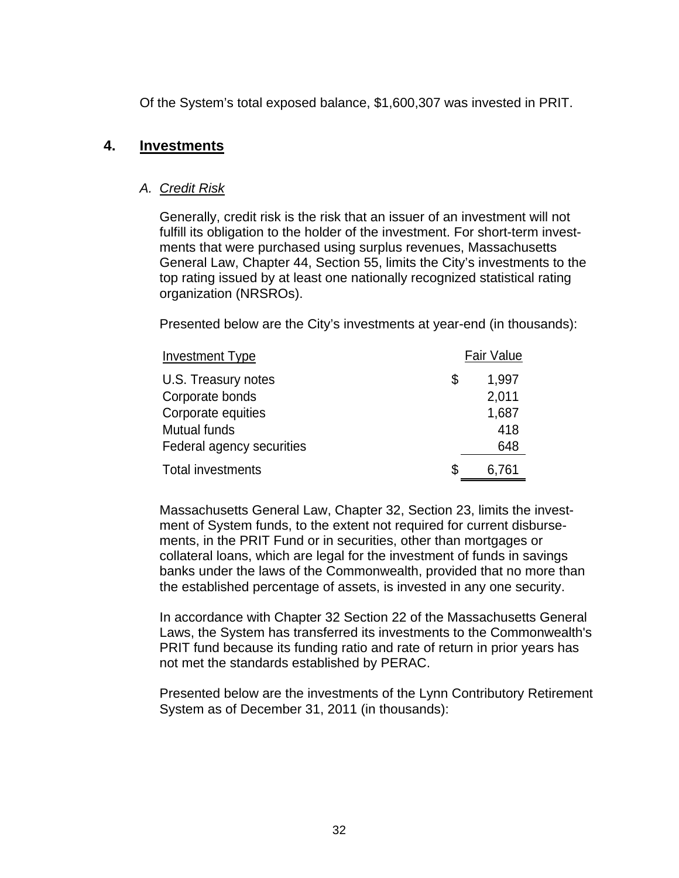Of the System's total exposed balance, \$1,600,307 was invested in PRIT.

### **4. Investments**

#### *A. Credit Risk*

Generally, credit risk is the risk that an issuer of an investment will not fulfill its obligation to the holder of the investment. For short-term investments that were purchased using surplus revenues, Massachusetts General Law, Chapter 44, Section 55, limits the City's investments to the top rating issued by at least one nationally recognized statistical rating organization (NRSROs).

Presented below are the City's investments at year-end (in thousands):

| <b>Investment Type</b>    | <b>Fair Value</b> |
|---------------------------|-------------------|
| U.S. Treasury notes       | \$<br>1,997       |
| Corporate bonds           | 2,011             |
| Corporate equities        | 1,687             |
| Mutual funds              | 418               |
| Federal agency securities | 648               |
| <b>Total investments</b>  | \$<br>6,761       |

Massachusetts General Law, Chapter 32, Section 23, limits the investment of System funds, to the extent not required for current disbursements, in the PRIT Fund or in securities, other than mortgages or collateral loans, which are legal for the investment of funds in savings banks under the laws of the Commonwealth, provided that no more than the established percentage of assets, is invested in any one security.

In accordance with Chapter 32 Section 22 of the Massachusetts General Laws, the System has transferred its investments to the Commonwealth's PRIT fund because its funding ratio and rate of return in prior years has not met the standards established by PERAC.

Presented below are the investments of the Lynn Contributory Retirement System as of December 31, 2011 (in thousands):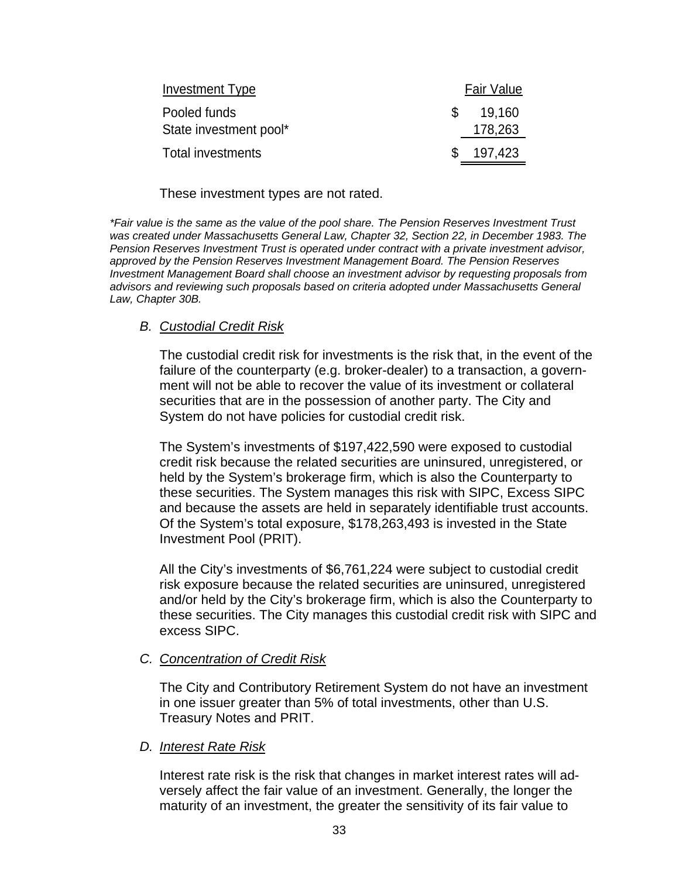| Investment Type        |     | <b>Fair Value</b> |
|------------------------|-----|-------------------|
| Pooled funds           | \$. | 19.160            |
| State investment pool* |     | 178,263           |
| Total investments      |     | 197,423           |

#### These investment types are not rated.

*\*Fair value is the same as the value of the pool share. The Pension Reserves Investment Trust*  was created under Massachusetts General Law, Chapter 32, Section 22, in December 1983. The *Pension Reserves Investment Trust is operated under contract with a private investment advisor, approved by the Pension Reserves Investment Management Board. The Pension Reserves Investment Management Board shall choose an investment advisor by requesting proposals from advisors and reviewing such proposals based on criteria adopted under Massachusetts General Law, Chapter 30B.* 

### *B. Custodial Credit Risk*

The custodial credit risk for investments is the risk that, in the event of the failure of the counterparty (e.g. broker-dealer) to a transaction, a government will not be able to recover the value of its investment or collateral securities that are in the possession of another party. The City and System do not have policies for custodial credit risk.

The System's investments of \$197,422,590 were exposed to custodial credit risk because the related securities are uninsured, unregistered, or held by the System's brokerage firm, which is also the Counterparty to these securities. The System manages this risk with SIPC, Excess SIPC and because the assets are held in separately identifiable trust accounts. Of the System's total exposure, \$178,263,493 is invested in the State Investment Pool (PRIT).

All the City's investments of \$6,761,224 were subject to custodial credit risk exposure because the related securities are uninsured, unregistered and/or held by the City's brokerage firm, which is also the Counterparty to these securities. The City manages this custodial credit risk with SIPC and excess SIPC.

#### *C. Concentration of Credit Risk*

The City and Contributory Retirement System do not have an investment in one issuer greater than 5% of total investments, other than U.S. Treasury Notes and PRIT.

#### *D. Interest Rate Risk*

Interest rate risk is the risk that changes in market interest rates will adversely affect the fair value of an investment. Generally, the longer the maturity of an investment, the greater the sensitivity of its fair value to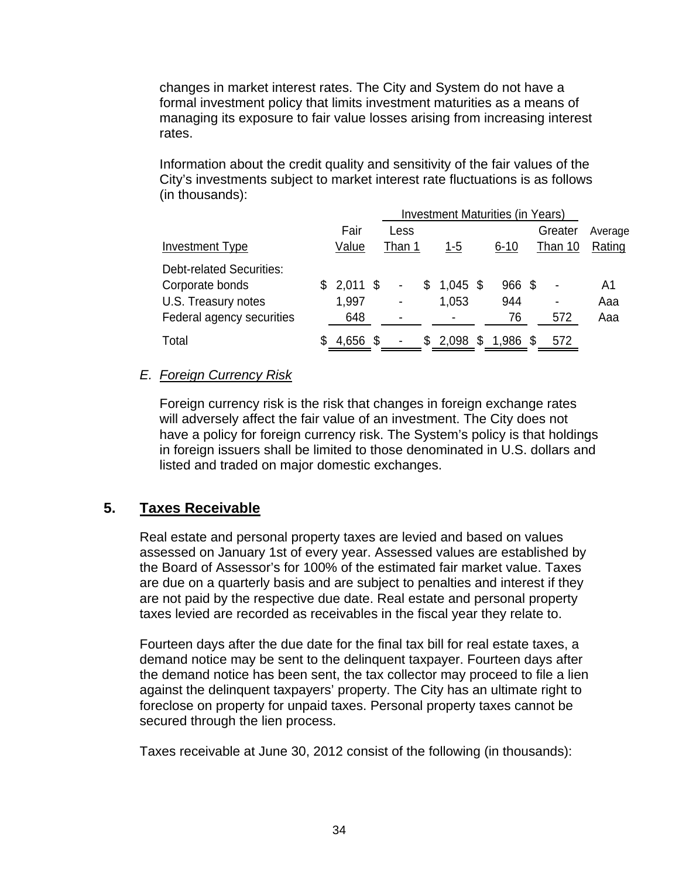changes in market interest rates. The City and System do not have a formal investment policy that limits investment maturities as a means of managing its exposure to fair value losses arising from increasing interest rates.

Information about the credit quality and sensitivity of the fair values of the City's investments subject to market interest rate fluctuations is as follows (in thousands):

|                                 |    |            | <b>Investment Maturities (in Years)</b> |                |    |            |   |          |      |         |         |
|---------------------------------|----|------------|-----------------------------------------|----------------|----|------------|---|----------|------|---------|---------|
|                                 |    | Fair       |                                         | Less           |    |            |   |          |      | Greater | Average |
| <b>Investment Type</b>          |    | Value      |                                         | Than 1         |    | $1 - 5$    |   | $6 - 10$ |      | Than 10 | Rating  |
| <b>Debt-related Securities:</b> |    |            |                                         |                |    |            |   |          |      |         |         |
| Corporate bonds                 | S. | $2,011$ \$ |                                         | $\blacksquare$ | \$ | $1,045$ \$ |   | 966      | - \$ |         | A1      |
| U.S. Treasury notes             |    | 1,997      |                                         | ۰              |    | 1,053      |   | 944      |      | ۰       | Aaa     |
| Federal agency securities       |    | 648        |                                         | ۰              |    |            |   | 76       |      | 572     | Aaa     |
| Total                           | S  | 4,656      | - \$                                    | ۰              | S. | 2,098      | S | 1,986    | \$   | 572     |         |

## *E. Foreign Currency Risk*

Foreign currency risk is the risk that changes in foreign exchange rates will adversely affect the fair value of an investment. The City does not have a policy for foreign currency risk. The System's policy is that holdings in foreign issuers shall be limited to those denominated in U.S. dollars and listed and traded on major domestic exchanges.

# **5. Taxes Receivable**

Real estate and personal property taxes are levied and based on values assessed on January 1st of every year. Assessed values are established by the Board of Assessor's for 100% of the estimated fair market value. Taxes are due on a quarterly basis and are subject to penalties and interest if they are not paid by the respective due date. Real estate and personal property taxes levied are recorded as receivables in the fiscal year they relate to.

Fourteen days after the due date for the final tax bill for real estate taxes, a demand notice may be sent to the delinquent taxpayer. Fourteen days after the demand notice has been sent, the tax collector may proceed to file a lien against the delinquent taxpayers' property. The City has an ultimate right to foreclose on property for unpaid taxes. Personal property taxes cannot be secured through the lien process.

Taxes receivable at June 30, 2012 consist of the following (in thousands):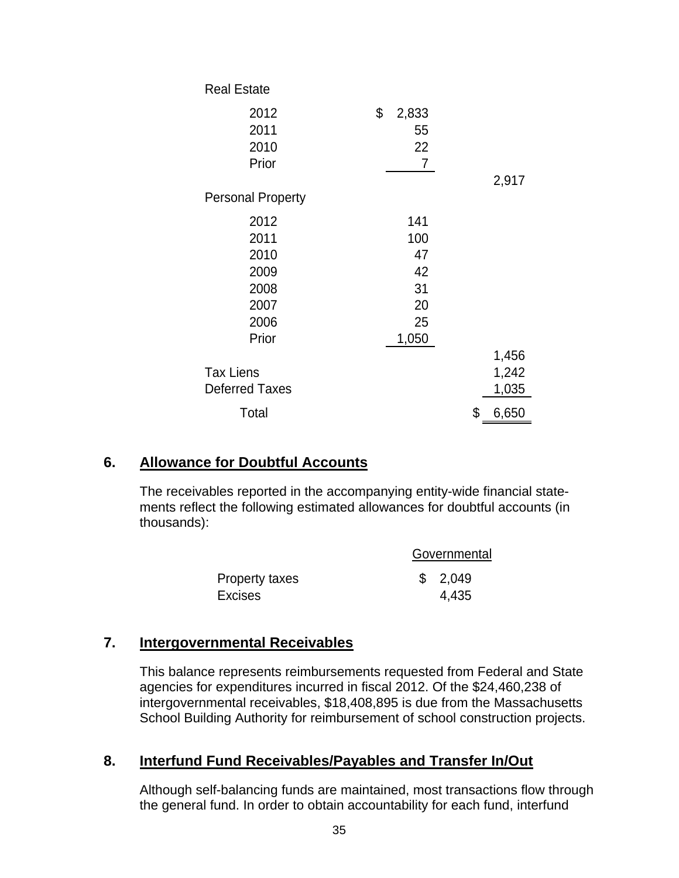| <b>Real Estate</b>       |             |             |
|--------------------------|-------------|-------------|
| 2012                     | \$<br>2,833 |             |
| 2011                     | 55          |             |
| 2010                     | 22          |             |
| Prior                    | 7           |             |
|                          |             | 2,917       |
| <b>Personal Property</b> |             |             |
| 2012                     | 141         |             |
| 2011                     | 100         |             |
| 2010                     | 47          |             |
| 2009                     | 42          |             |
| 2008                     | 31          |             |
| 2007                     | 20          |             |
| 2006                     | 25          |             |
| Prior                    | 1,050       |             |
|                          |             | 1,456       |
| <b>Tax Liens</b>         |             | 1,242       |
| <b>Deferred Taxes</b>    |             | 1,035       |
| Total                    |             | \$<br>6,650 |

# **6. Allowance for Doubtful Accounts**

The receivables reported in the accompanying entity-wide financial statements reflect the following estimated allowances for doubtful accounts (in thousands):

|                | Governmental |
|----------------|--------------|
| Property taxes | \$2,049      |
| Excises        | 4,435        |

# **7. Intergovernmental Receivables**

This balance represents reimbursements requested from Federal and State agencies for expenditures incurred in fiscal 2012. Of the \$24,460,238 of intergovernmental receivables, \$18,408,895 is due from the Massachusetts School Building Authority for reimbursement of school construction projects.

# **8. Interfund Fund Receivables/Payables and Transfer In/Out**

Although self-balancing funds are maintained, most transactions flow through the general fund. In order to obtain accountability for each fund, interfund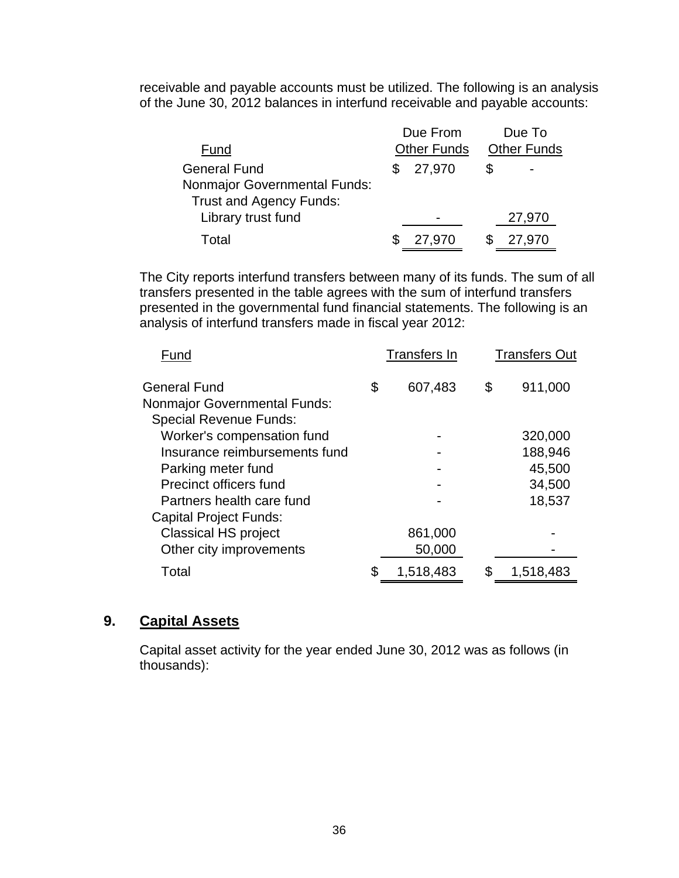receivable and payable accounts must be utilized. The following is an analysis of the June 30, 2012 balances in interfund receivable and payable accounts:

|                                     | Due From           | Due To             |
|-------------------------------------|--------------------|--------------------|
| Fund                                | <b>Other Funds</b> | <b>Other Funds</b> |
| <b>General Fund</b>                 | 27,970             |                    |
| <b>Nonmajor Governmental Funds:</b> |                    |                    |
| Trust and Agency Funds:             |                    |                    |
| Library trust fund                  |                    | 27,970             |
| Total                               | 27,970             | 27,970             |

The City reports interfund transfers between many of its funds. The sum of all transfers presented in the table agrees with the sum of interfund transfers presented in the governmental fund financial statements. The following is an analysis of interfund transfers made in fiscal year 2012:

| Fund                                | Transfers In    | <b>Transfers Out</b> |
|-------------------------------------|-----------------|----------------------|
| General Fund                        | \$<br>607,483   | \$<br>911,000        |
| <b>Nonmajor Governmental Funds:</b> |                 |                      |
| <b>Special Revenue Funds:</b>       |                 |                      |
| Worker's compensation fund          |                 | 320,000              |
| Insurance reimbursements fund       |                 | 188,946              |
| Parking meter fund                  |                 | 45,500               |
| Precinct officers fund              |                 | 34,500               |
| Partners health care fund           |                 | 18,537               |
| <b>Capital Project Funds:</b>       |                 |                      |
| <b>Classical HS project</b>         | 861,000         |                      |
| Other city improvements             | 50,000          |                      |
| Total                               | \$<br>1,518,483 | 1,518,483            |

# **9. Capital Assets**

Capital asset activity for the year ended June 30, 2012 was as follows (in thousands):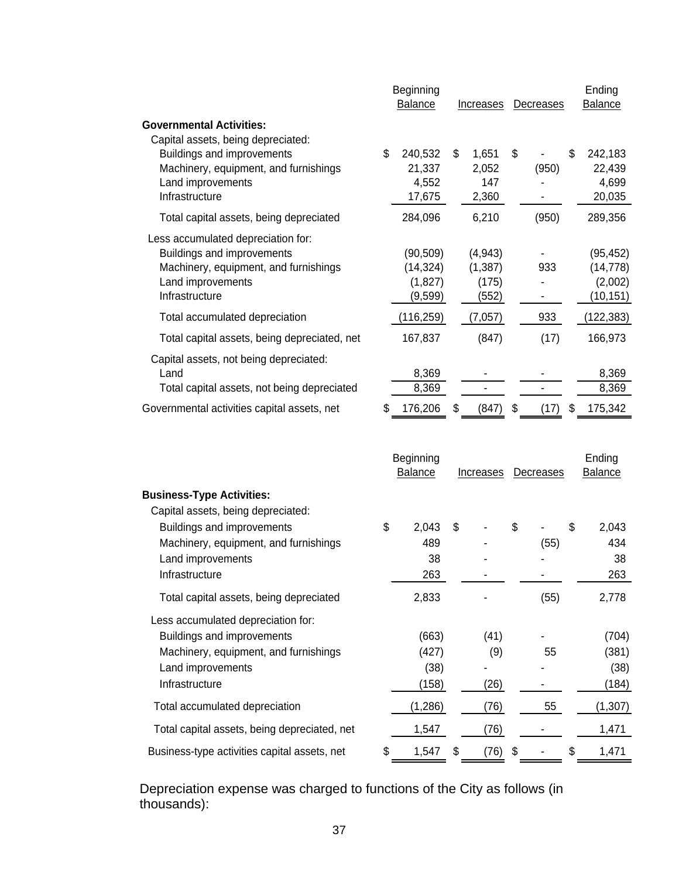|                                              | Beginning<br><b>Balance</b> | Increases   | Decreases | Ending<br><b>Balance</b> |
|----------------------------------------------|-----------------------------|-------------|-----------|--------------------------|
| <b>Governmental Activities:</b>              |                             |             |           |                          |
| Capital assets, being depreciated:           |                             |             |           |                          |
| Buildings and improvements                   | \$<br>240,532               | \$<br>1,651 | \$        | \$<br>242,183            |
| Machinery, equipment, and furnishings        | 21,337                      | 2,052       | (950)     | 22,439                   |
| Land improvements                            | 4,552                       | 147         |           | 4,699                    |
| Infrastructure                               | 17,675                      | 2,360       |           | 20,035                   |
| Total capital assets, being depreciated      | 284,096                     | 6,210       | (950)     | 289,356                  |
| Less accumulated depreciation for:           |                             |             |           |                          |
| Buildings and improvements                   | (90, 509)                   | (4, 943)    |           | (95, 452)                |
| Machinery, equipment, and furnishings        | (14, 324)                   | (1, 387)    | 933       | (14, 778)                |
| Land improvements                            | (1,827)                     | (175)       |           | (2,002)                  |
| Infrastructure                               | (9,599)                     | (552)       |           | (10, 151)                |
|                                              |                             |             |           |                          |
| Total accumulated depreciation               | (116, 259)                  | (7,057)     | 933       | (122, 383)               |
| Total capital assets, being depreciated, net | 167,837                     | (847)       | (17)      | 166,973                  |
| Capital assets, not being depreciated:       |                             |             |           |                          |
| Land                                         | 8,369                       |             |           | 8,369                    |
| Total capital assets, not being depreciated  | 8,369                       |             |           | 8,369                    |
| Governmental activities capital assets, net  | 176,206                     | \$<br>(847) | 17        | \$<br>175,342            |

|                                              |    | Beginning<br><b>Balance</b> | Increases  |    | Decreases | Ending<br><b>Balance</b> |
|----------------------------------------------|----|-----------------------------|------------|----|-----------|--------------------------|
| <b>Business-Type Activities:</b>             |    |                             |            |    |           |                          |
| Capital assets, being depreciated:           |    |                             |            |    |           |                          |
| Buildings and improvements                   | \$ | 2,043                       | \$         | \$ |           | \$<br>2,043              |
| Machinery, equipment, and furnishings        |    | 489                         |            |    | (55)      | 434                      |
| Land improvements                            |    | 38                          |            |    |           | 38                       |
| Infrastructure                               |    | 263                         |            |    |           | 263                      |
| Total capital assets, being depreciated      |    | 2,833                       |            |    | (55)      | 2,778                    |
| Less accumulated depreciation for:           |    |                             |            |    |           |                          |
| Buildings and improvements                   |    | (663)                       | (41)       |    |           | (704)                    |
| Machinery, equipment, and furnishings        |    | (427)                       | (9)        |    | 55        | (381)                    |
| Land improvements                            |    | (38)                        |            |    |           | (38)                     |
| Infrastructure                               |    | (158)                       | (26)       |    |           | (184)                    |
| Total accumulated depreciation               |    | (1, 286)                    | (76)       |    | 55        | (1, 307)                 |
| Total capital assets, being depreciated, net |    | 1,547                       | (76)       |    |           | 1,471                    |
| Business-type activities capital assets, net | S  | 1,547                       | \$<br>(76) | S  |           | \$<br>1,471              |

Depreciation expense was charged to functions of the City as follows (in thousands):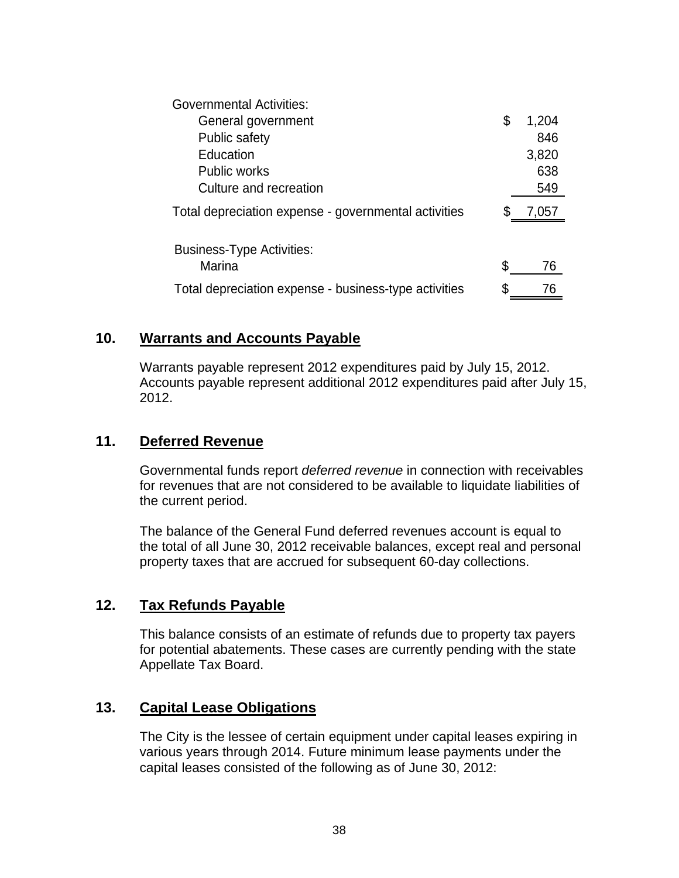| <b>Governmental Activities:</b>                       |    |       |
|-------------------------------------------------------|----|-------|
| General government                                    | \$ | 1,204 |
| Public safety                                         |    | 846   |
| Education                                             |    | 3,820 |
| <b>Public works</b>                                   |    | 638   |
| Culture and recreation                                |    | 549   |
| Total depreciation expense - governmental activities  |    | 7,057 |
|                                                       |    |       |
| <b>Business-Type Activities:</b>                      |    |       |
| Marina                                                | S  | 76    |
| Total depreciation expense - business-type activities |    | 76    |

# **10. Warrants and Accounts Payable**

Warrants payable represent 2012 expenditures paid by July 15, 2012. Accounts payable represent additional 2012 expenditures paid after July 15, 2012.

### **11. Deferred Revenue**

Governmental funds report *deferred revenue* in connection with receivables for revenues that are not considered to be available to liquidate liabilities of the current period.

The balance of the General Fund deferred revenues account is equal to the total of all June 30, 2012 receivable balances, except real and personal property taxes that are accrued for subsequent 60-day collections.

### **12. Tax Refunds Payable**

This balance consists of an estimate of refunds due to property tax payers for potential abatements. These cases are currently pending with the state Appellate Tax Board.

### **13. Capital Lease Obligations**

The City is the lessee of certain equipment under capital leases expiring in various years through 2014. Future minimum lease payments under the capital leases consisted of the following as of June 30, 2012: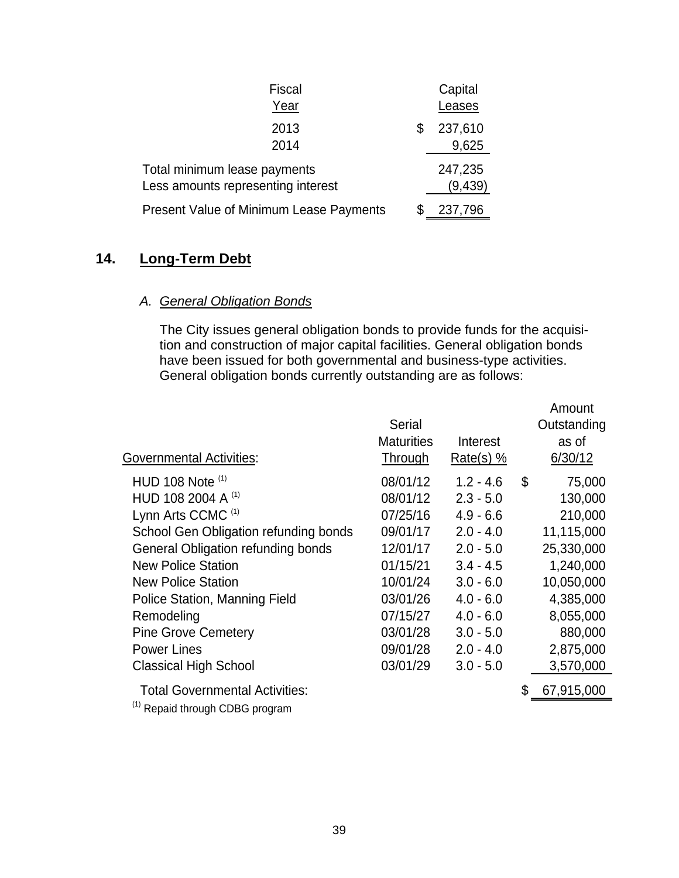| <b>Fiscal</b>                                                      | Capital                |
|--------------------------------------------------------------------|------------------------|
| Year                                                               | Leases                 |
| 2013<br>2014                                                       | \$<br>237,610<br>9,625 |
| Total minimum lease payments<br>Less amounts representing interest | 247,235<br>(9, 439)    |
| Present Value of Minimum Lease Payments                            | 237,796                |

# **14. Long-Term Debt**

# *A. General Obligation Bonds*

The City issues general obligation bonds to provide funds for the acquisition and construction of major capital facilities. General obligation bonds have been issued for both governmental and business-type activities. General obligation bonds currently outstanding are as follows:

| <b>Governmental Activities:</b>                  | Serial<br><b>Maturities</b><br><b>Through</b> | Interest<br>Rate(s) $%$ | Amount<br>Outstanding<br>as of<br>6/30/12 |
|--------------------------------------------------|-----------------------------------------------|-------------------------|-------------------------------------------|
| HUD 108 Note (1)                                 | 08/01/12                                      | $1.2 - 4.6$             | \$<br>75,000                              |
| HUD 108 2004 A $(1)$                             | 08/01/12                                      | $2.3 - 5.0$             | 130,000                                   |
| Lynn Arts CCMC <sup>(1)</sup>                    | 07/25/16                                      | $4.9 - 6.6$             | 210,000                                   |
| School Gen Obligation refunding bonds            | 09/01/17                                      | $2.0 - 4.0$             | 11,115,000                                |
| General Obligation refunding bonds               | 12/01/17                                      | $2.0 - 5.0$             | 25,330,000                                |
| <b>New Police Station</b>                        | 01/15/21                                      | $3.4 - 4.5$             | 1,240,000                                 |
| <b>New Police Station</b>                        | 10/01/24                                      | $3.0 - 6.0$             | 10,050,000                                |
| Police Station, Manning Field                    | 03/01/26                                      | $4.0 - 6.0$             | 4,385,000                                 |
| Remodeling                                       | 07/15/27                                      | $4.0 - 6.0$             | 8,055,000                                 |
| <b>Pine Grove Cemetery</b>                       | 03/01/28                                      | $3.0 - 5.0$             | 880,000                                   |
| <b>Power Lines</b>                               | 09/01/28                                      | $2.0 - 4.0$             | 2,875,000                                 |
| <b>Classical High School</b>                     | 03/01/29                                      | $3.0 - 5.0$             | 3,570,000                                 |
| <b>Total Governmental Activities:</b><br>$(1) -$ |                                               |                         | 67,915,000                                |

 $(1)$  Repaid through CDBG program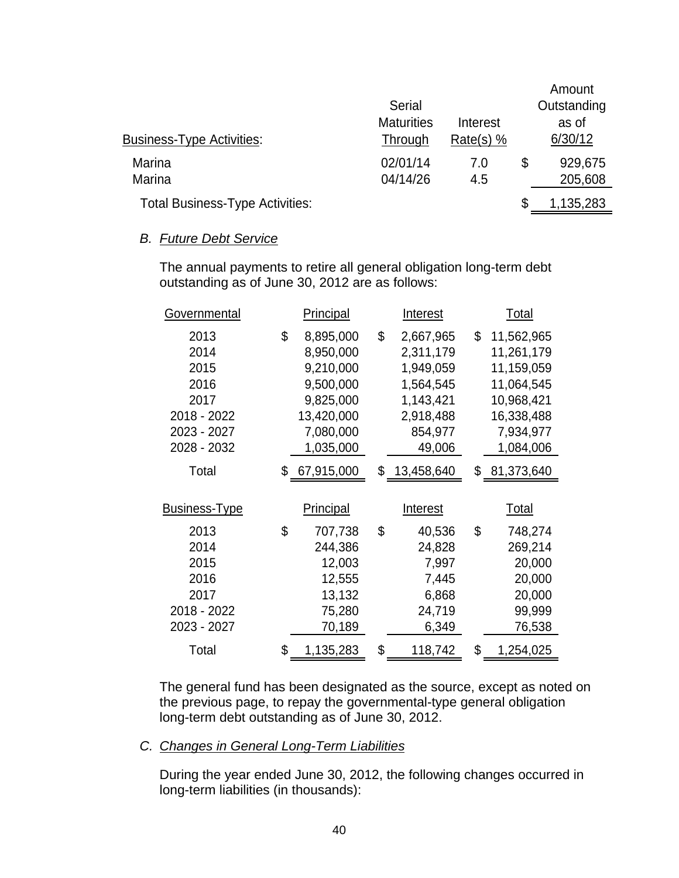|                                        | Serial<br><b>Maturities</b> | Interest    | Amount<br>Outstanding<br>as of |
|----------------------------------------|-----------------------------|-------------|--------------------------------|
| <b>Business-Type Activities:</b>       | Through                     | Rate(s) $%$ | 6/30/12                        |
| Marina<br>Marina                       | 02/01/14<br>04/14/26        | 7.0<br>4.5  | \$<br>929,675<br>205,608       |
| <b>Total Business-Type Activities:</b> |                             |             | 1,135,283                      |

### *B. Future Debt Service*

The annual payments to retire all general obligation long-term debt outstanding as of June 30, 2012 are as follows:

| <b>Governmental</b>                                                | <b>Principal</b>                                                                               |    |                                                                                       | <u>Total</u>                                                                                        |
|--------------------------------------------------------------------|------------------------------------------------------------------------------------------------|----|---------------------------------------------------------------------------------------|-----------------------------------------------------------------------------------------------------|
| 2013<br>2014<br>2015<br>2016<br>2017<br>2018 - 2022<br>2023 - 2027 | \$<br>8,895,000<br>8,950,000<br>9,210,000<br>9,500,000<br>9,825,000<br>13,420,000<br>7,080,000 | \$ | 2,667,965<br>2,311,179<br>1,949,059<br>1,564,545<br>1,143,421<br>2,918,488<br>854,977 | \$<br>11,562,965<br>11,261,179<br>11,159,059<br>11,064,545<br>10,968,421<br>16,338,488<br>7,934,977 |
| 2028 - 2032                                                        | 1,035,000                                                                                      |    | 49,006                                                                                | 1,084,006                                                                                           |
| Total<br><b>Business-Type</b>                                      | \$67,915,000<br><b>Principal</b>                                                               |    | \$13,458,640<br><b>Interest</b>                                                       | \$ 81,373,640<br><u>Total</u>                                                                       |
| 2013<br>2014<br>2015<br>2016<br>2017<br>2018 - 2022<br>2023 - 2027 | \$<br>707,738<br>244,386<br>12,003<br>12,555<br>13,132<br>75,280<br>70,189                     | \$ | 40,536<br>24,828<br>7,997<br>7,445<br>6,868<br>24,719<br>6,349                        | \$<br>748,274<br>269,214<br>20,000<br>20,000<br>20,000<br>99,999<br>76,538                          |
| Total                                                              | \$<br>1,135,283                                                                                | \$ | 118,742                                                                               | \$<br>1,254,025                                                                                     |

The general fund has been designated as the source, except as noted on the previous page, to repay the governmental-type general obligation long-term debt outstanding as of June 30, 2012.

# *C. Changes in General Long-Term Liabilities*

During the year ended June 30, 2012, the following changes occurred in long-term liabilities (in thousands):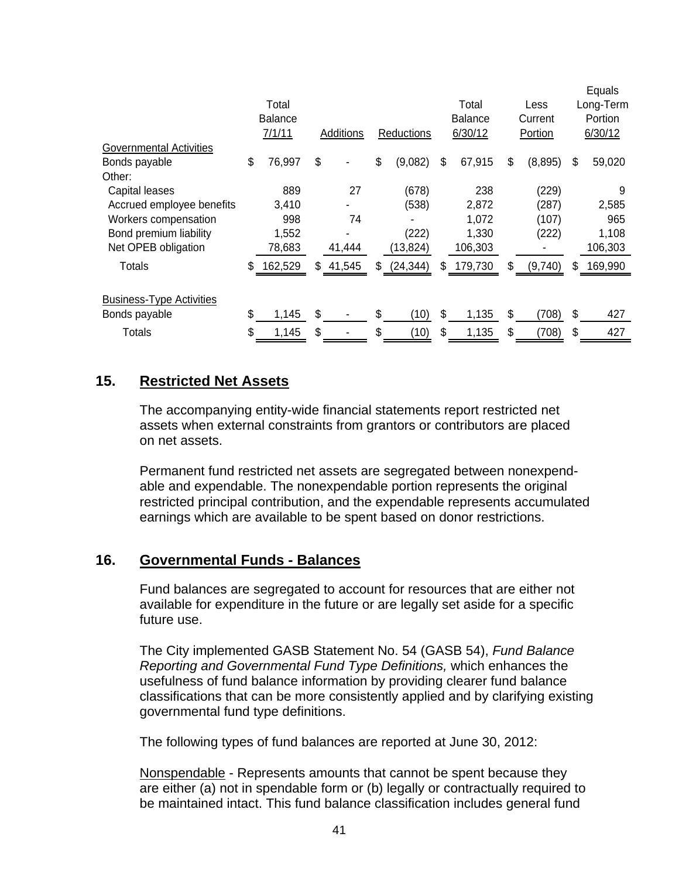|                                 |    |                |              |                 |                |                |    | Equals    |
|---------------------------------|----|----------------|--------------|-----------------|----------------|----------------|----|-----------|
|                                 |    | Total          |              |                 | Total          | Less           |    | Long-Term |
|                                 |    | <b>Balance</b> |              |                 | <b>Balance</b> | Current        |    | Portion   |
|                                 |    | 7/1/11         | Additions    | Reductions      | 6/30/12        | Portion        |    | 6/30/12   |
| Governmental Activities         |    |                |              |                 |                |                |    |           |
| Bonds payable                   | \$ | 76,997         | \$           | \$<br>(9,082)   | \$<br>67,915   | \$<br>(8, 895) | \$ | 59,020    |
| Other:                          |    |                |              |                 |                |                |    |           |
| Capital leases                  |    | 889            | 27           | (678)           | 238            | (229)          |    | 9         |
| Accrued employee benefits       |    | 3,410          |              | (538)           | 2,872          | (287)          |    | 2,585     |
| Workers compensation            |    | 998            | 74           |                 | 1,072          | (107)          |    | 965       |
| Bond premium liability          |    | 1,552          |              | (222)           | 1,330          | (222)          |    | 1,108     |
| Net OPEB obligation             |    | 78,683         | 41,444       | (13, 824)       | 106,303        |                |    | 106,303   |
| Totals                          | \$ | 162,529        | \$<br>41,545 | \$<br>(24, 344) | \$<br>179,730  | \$<br>(9,740)  | S  | 169,990   |
|                                 |    |                |              |                 |                |                |    |           |
| <b>Business-Type Activities</b> |    |                |              |                 |                |                |    |           |
| Bonds payable                   | \$ | 1,145          | \$           | \$<br>(10)      | \$<br>1,135    | \$<br>(708)    | \$ | 427       |
| Totals                          | S  | 1,145          | \$           | \$<br>(10)      | \$<br>1,135    | \$<br>(708)    | \$ | 427       |

# **15. Restricted Net Assets**

The accompanying entity-wide financial statements report restricted net assets when external constraints from grantors or contributors are placed on net assets.

Permanent fund restricted net assets are segregated between nonexpendable and expendable. The nonexpendable portion represents the original restricted principal contribution, and the expendable represents accumulated earnings which are available to be spent based on donor restrictions.

# **16. Governmental Funds - Balances**

Fund balances are segregated to account for resources that are either not available for expenditure in the future or are legally set aside for a specific future use.

The City implemented GASB Statement No. 54 (GASB 54), *Fund Balance Reporting and Governmental Fund Type Definitions,* which enhances the usefulness of fund balance information by providing clearer fund balance classifications that can be more consistently applied and by clarifying existing governmental fund type definitions.

The following types of fund balances are reported at June 30, 2012:

Nonspendable - Represents amounts that cannot be spent because they are either (a) not in spendable form or (b) legally or contractually required to be maintained intact. This fund balance classification includes general fund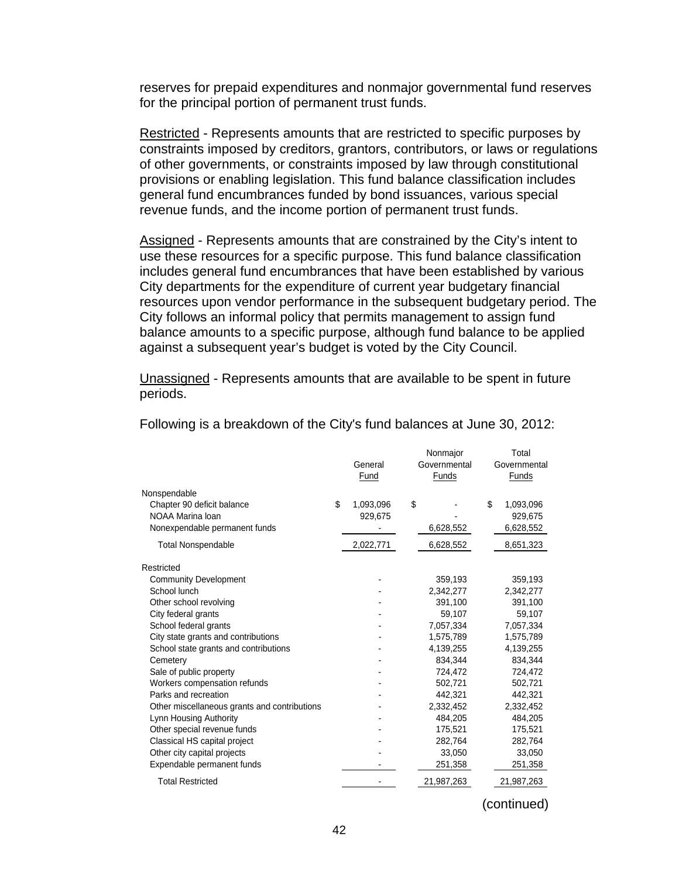reserves for prepaid expenditures and nonmajor governmental fund reserves for the principal portion of permanent trust funds.

Restricted - Represents amounts that are restricted to specific purposes by constraints imposed by creditors, grantors, contributors, or laws or regulations of other governments, or constraints imposed by law through constitutional provisions or enabling legislation. This fund balance classification includes general fund encumbrances funded by bond issuances, various special revenue funds, and the income portion of permanent trust funds.

Assigned - Represents amounts that are constrained by the City's intent to use these resources for a specific purpose. This fund balance classification includes general fund encumbrances that have been established by various City departments for the expenditure of current year budgetary financial resources upon vendor performance in the subsequent budgetary period. The City follows an informal policy that permits management to assign fund balance amounts to a specific purpose, although fund balance to be applied against a subsequent year's budget is voted by the City Council.

Unassigned - Represents amounts that are available to be spent in future periods.

|                                              | General<br>Fund | Nonmajor<br>Governmental<br>Funds |    | Total<br>Governmental<br>Funds |
|----------------------------------------------|-----------------|-----------------------------------|----|--------------------------------|
| Nonspendable                                 |                 |                                   |    |                                |
| Chapter 90 deficit balance                   | \$<br>1,093,096 | \$                                | \$ | 1,093,096                      |
| NOAA Marina Ioan                             | 929,675         |                                   |    | 929,675                        |
| Nonexpendable permanent funds                |                 | 6,628,552                         |    | 6,628,552                      |
| <b>Total Nonspendable</b>                    | 2,022,771       | 6,628,552                         |    | 8,651,323                      |
| Restricted                                   |                 |                                   |    |                                |
| <b>Community Development</b>                 |                 | 359,193                           |    | 359,193                        |
| School lunch                                 |                 | 2,342,277                         |    | 2,342,277                      |
| Other school revolving                       |                 | 391,100                           |    | 391,100                        |
| City federal grants                          |                 | 59,107                            |    | 59,107                         |
| School federal grants                        |                 | 7,057,334                         |    | 7,057,334                      |
| City state grants and contributions          |                 | 1,575,789                         |    | 1,575,789                      |
| School state grants and contributions        |                 | 4,139,255                         |    | 4,139,255                      |
| Cemetery                                     |                 | 834,344                           |    | 834,344                        |
| Sale of public property                      |                 | 724,472                           |    | 724,472                        |
| Workers compensation refunds                 |                 | 502.721                           |    | 502,721                        |
| Parks and recreation                         |                 | 442,321                           |    | 442,321                        |
| Other miscellaneous grants and contributions |                 | 2,332,452                         |    | 2,332,452                      |
| Lynn Housing Authority                       |                 | 484,205                           |    | 484,205                        |
| Other special revenue funds                  |                 | 175,521                           |    | 175,521                        |
| Classical HS capital project                 |                 | 282,764                           |    | 282,764                        |
| Other city capital projects                  |                 | 33,050                            |    | 33,050                         |
| Expendable permanent funds                   |                 | 251,358                           |    | 251,358                        |
| <b>Total Restricted</b>                      |                 | 21,987,263                        |    | 21,987,263                     |

Following is a breakdown of the City's fund balances at June 30, 2012:

(continued)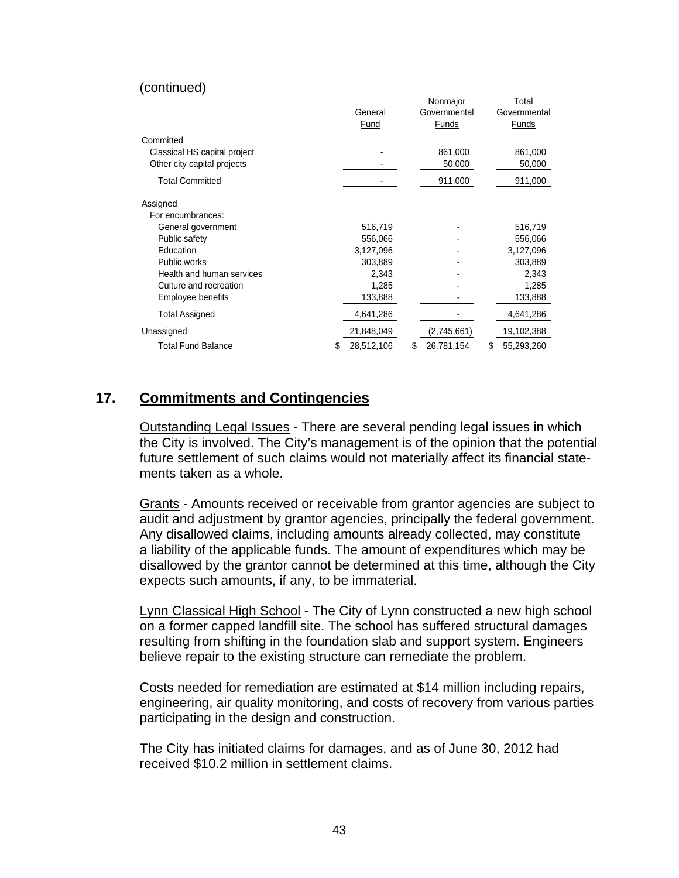#### (continued)

|                              |   |            | Nonmajor         | Total            |
|------------------------------|---|------------|------------------|------------------|
|                              |   | General    | Governmental     | Governmental     |
|                              |   | Fund       | Funds            | <b>Funds</b>     |
| Committed                    |   |            |                  |                  |
| Classical HS capital project |   |            | 861,000          | 861,000          |
| Other city capital projects  |   |            | 50,000           | 50,000           |
| <b>Total Committed</b>       |   |            | 911,000          | 911,000          |
| Assigned                     |   |            |                  |                  |
| For encumbrances:            |   |            |                  |                  |
| General government           |   | 516,719    |                  | 516,719          |
| Public safety                |   | 556,066    |                  | 556,066          |
| Education                    |   | 3,127,096  |                  | 3,127,096        |
| Public works                 |   | 303,889    |                  | 303,889          |
| Health and human services    |   | 2,343      |                  | 2,343            |
| Culture and recreation       |   | 1,285      |                  | 1,285            |
| Employee benefits            |   | 133,888    |                  | 133,888          |
| <b>Total Assigned</b>        |   | 4,641,286  |                  | 4,641,286        |
| Unassigned                   |   | 21,848,049 | (2,745,661)      | 19,102,388       |
| <b>Total Fund Balance</b>    | S | 28,512,106 | \$<br>26,781,154 | \$<br>55,293,260 |

# **17. Commitments and Contingencies**

Outstanding Legal Issues - There are several pending legal issues in which the City is involved. The City's management is of the opinion that the potential future settlement of such claims would not materially affect its financial statements taken as a whole.

Grants - Amounts received or receivable from grantor agencies are subject to audit and adjustment by grantor agencies, principally the federal government. Any disallowed claims, including amounts already collected, may constitute a liability of the applicable funds. The amount of expenditures which may be disallowed by the grantor cannot be determined at this time, although the City expects such amounts, if any, to be immaterial.

Lynn Classical High School - The City of Lynn constructed a new high school on a former capped landfill site. The school has suffered structural damages resulting from shifting in the foundation slab and support system. Engineers believe repair to the existing structure can remediate the problem.

Costs needed for remediation are estimated at \$14 million including repairs, engineering, air quality monitoring, and costs of recovery from various parties participating in the design and construction.

The City has initiated claims for damages, and as of June 30, 2012 had received \$10.2 million in settlement claims.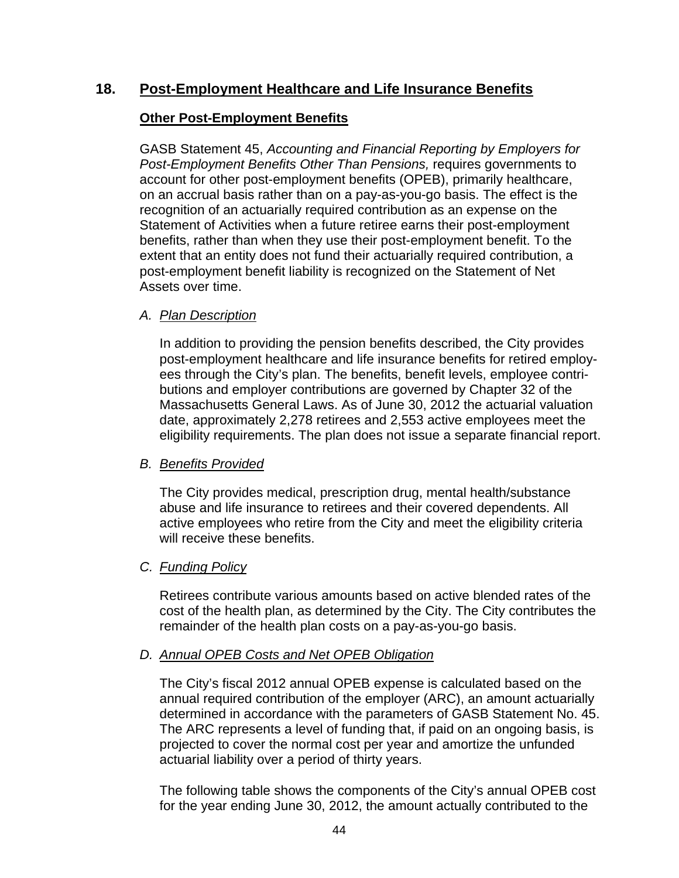# **18. Post-Employment Healthcare and Life Insurance Benefits**

# **Other Post-Employment Benefits**

GASB Statement 45, *Accounting and Financial Reporting by Employers for Post-Employment Benefits Other Than Pensions,* requires governments to account for other post-employment benefits (OPEB), primarily healthcare, on an accrual basis rather than on a pay-as-you-go basis. The effect is the recognition of an actuarially required contribution as an expense on the Statement of Activities when a future retiree earns their post-employment benefits, rather than when they use their post-employment benefit. To the extent that an entity does not fund their actuarially required contribution, a post-employment benefit liability is recognized on the Statement of Net Assets over time.

### *A. Plan Description*

In addition to providing the pension benefits described, the City provides post-employment healthcare and life insurance benefits for retired employees through the City's plan. The benefits, benefit levels, employee contributions and employer contributions are governed by Chapter 32 of the Massachusetts General Laws. As of June 30, 2012 the actuarial valuation date, approximately 2,278 retirees and 2,553 active employees meet the eligibility requirements. The plan does not issue a separate financial report.

### *B. Benefits Provided*

The City provides medical, prescription drug, mental health/substance abuse and life insurance to retirees and their covered dependents. All active employees who retire from the City and meet the eligibility criteria will receive these benefits.

### *C. Funding Policy*

Retirees contribute various amounts based on active blended rates of the cost of the health plan, as determined by the City. The City contributes the remainder of the health plan costs on a pay-as-you-go basis.

### *D. Annual OPEB Costs and Net OPEB Obligation*

The City's fiscal 2012 annual OPEB expense is calculated based on the annual required contribution of the employer (ARC), an amount actuarially determined in accordance with the parameters of GASB Statement No. 45. The ARC represents a level of funding that, if paid on an ongoing basis, is projected to cover the normal cost per year and amortize the unfunded actuarial liability over a period of thirty years.

The following table shows the components of the City's annual OPEB cost for the year ending June 30, 2012, the amount actually contributed to the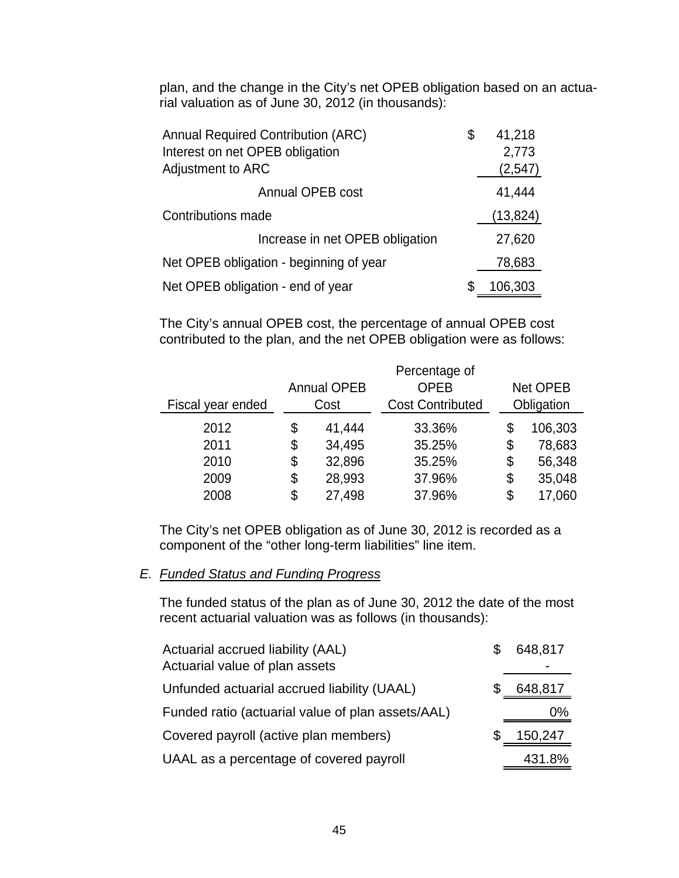plan, and the change in the City's net OPEB obligation based on an actuarial valuation as of June 30, 2012 (in thousands):

| <b>Annual Required Contribution (ARC)</b> | S  | 41,218    |
|-------------------------------------------|----|-----------|
| Interest on net OPEB obligation           |    | 2,773     |
| Adjustment to ARC                         |    | (2, 547)  |
| Annual OPEB cost                          |    | 41,444    |
| Contributions made                        |    | (13, 824) |
| Increase in net OPEB obligation           |    | 27,620    |
| Net OPEB obligation - beginning of year   |    | 78,683    |
| Net OPEB obligation - end of year         | \$ | 106,303   |

The City's annual OPEB cost, the percentage of annual OPEB cost contributed to the plan, and the net OPEB obligation were as follows:

|                   |                    | Percentage of           |               |
|-------------------|--------------------|-------------------------|---------------|
|                   | <b>Annual OPEB</b> | <b>OPEB</b>             | Net OPEB      |
| Fiscal year ended | Cost               | <b>Cost Contributed</b> | Obligation    |
| 2012              | \$<br>41,444       | 33.36%                  | \$<br>106,303 |
| 2011              | \$<br>34,495       | 35.25%                  | \$<br>78,683  |
| 2010              | \$<br>32,896       | 35.25%                  | \$<br>56,348  |
| 2009              | \$<br>28,993       | 37.96%                  | \$<br>35,048  |
| 2008              | \$<br>27,498       | 37.96%                  | \$<br>17,060  |

The City's net OPEB obligation as of June 30, 2012 is recorded as a component of the "other long-term liabilities" line item.

#### *E. Funded Status and Funding Progress*

The funded status of the plan as of June 30, 2012 the date of the most recent actuarial valuation was as follows (in thousands):

| Actuarial accrued liability (AAL)<br>Actuarial value of plan assets | 648,817 |
|---------------------------------------------------------------------|---------|
| Unfunded actuarial accrued liability (UAAL)                         | 648,817 |
| Funded ratio (actuarial value of plan assets/AAL)                   | $0\%$   |
| Covered payroll (active plan members)                               | 150,247 |
| UAAL as a percentage of covered payroll                             | 431.8%  |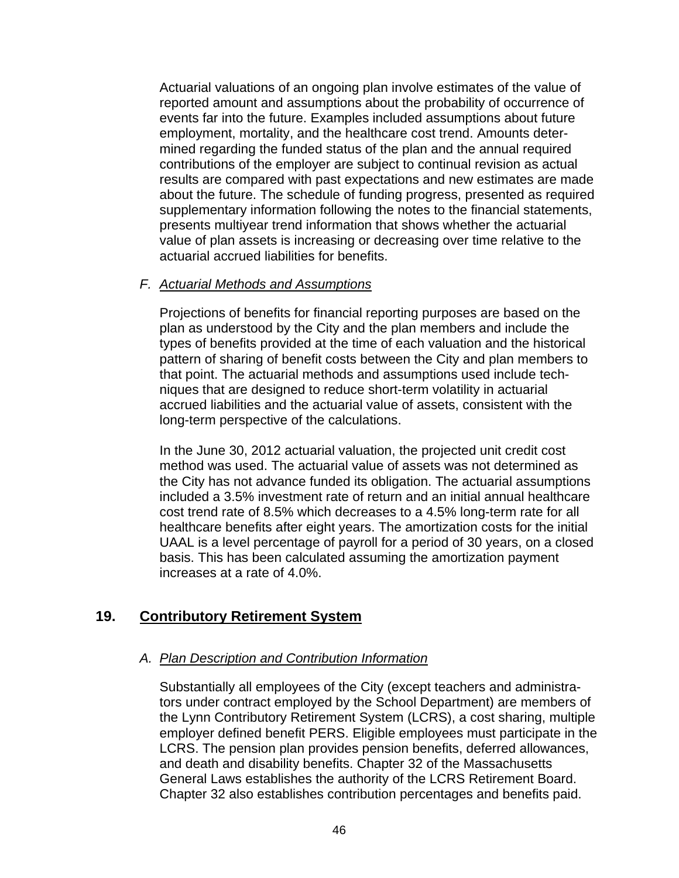Actuarial valuations of an ongoing plan involve estimates of the value of reported amount and assumptions about the probability of occurrence of events far into the future. Examples included assumptions about future employment, mortality, and the healthcare cost trend. Amounts determined regarding the funded status of the plan and the annual required contributions of the employer are subject to continual revision as actual results are compared with past expectations and new estimates are made about the future. The schedule of funding progress, presented as required supplementary information following the notes to the financial statements, presents multiyear trend information that shows whether the actuarial value of plan assets is increasing or decreasing over time relative to the actuarial accrued liabilities for benefits.

### *F. Actuarial Methods and Assumptions*

Projections of benefits for financial reporting purposes are based on the plan as understood by the City and the plan members and include the types of benefits provided at the time of each valuation and the historical pattern of sharing of benefit costs between the City and plan members to that point. The actuarial methods and assumptions used include techniques that are designed to reduce short-term volatility in actuarial accrued liabilities and the actuarial value of assets, consistent with the long-term perspective of the calculations.

In the June 30, 2012 actuarial valuation, the projected unit credit cost method was used. The actuarial value of assets was not determined as the City has not advance funded its obligation. The actuarial assumptions included a 3.5% investment rate of return and an initial annual healthcare cost trend rate of 8.5% which decreases to a 4.5% long-term rate for all healthcare benefits after eight years. The amortization costs for the initial UAAL is a level percentage of payroll for a period of 30 years, on a closed basis. This has been calculated assuming the amortization payment increases at a rate of 4.0%.

# **19. Contributory Retirement System**

### *A. Plan Description and Contribution Information*

Substantially all employees of the City (except teachers and administrators under contract employed by the School Department) are members of the Lynn Contributory Retirement System (LCRS), a cost sharing, multiple employer defined benefit PERS. Eligible employees must participate in the LCRS. The pension plan provides pension benefits, deferred allowances, and death and disability benefits. Chapter 32 of the Massachusetts General Laws establishes the authority of the LCRS Retirement Board. Chapter 32 also establishes contribution percentages and benefits paid.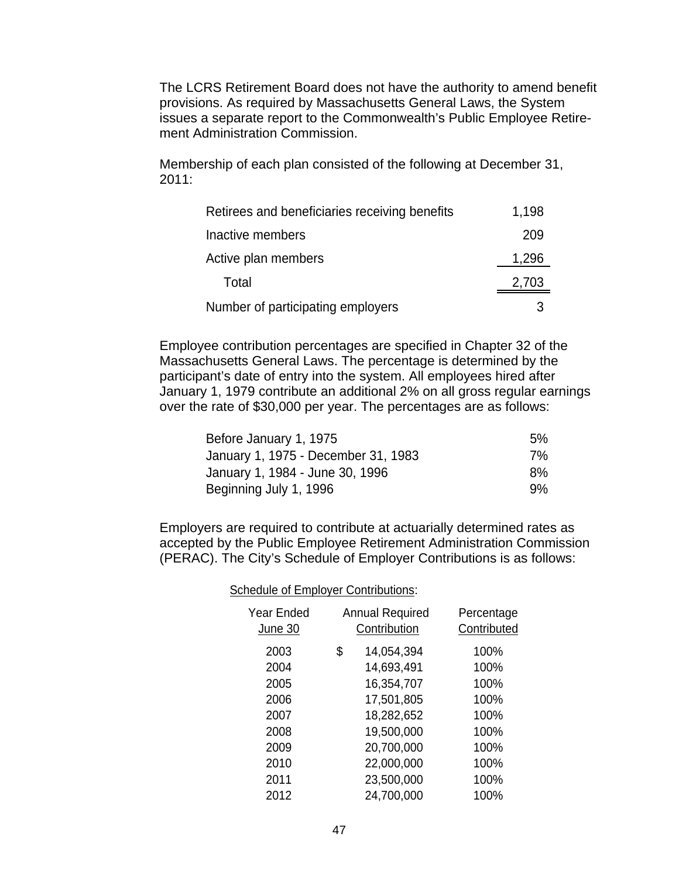The LCRS Retirement Board does not have the authority to amend benefit provisions. As required by Massachusetts General Laws, the System issues a separate report to the Commonwealth's Public Employee Retirement Administration Commission.

Membership of each plan consisted of the following at December 31, 2011:

| Retirees and beneficiaries receiving benefits | 1,198 |
|-----------------------------------------------|-------|
| Inactive members                              | 209   |
| Active plan members                           | 1,296 |
| Total                                         | 2,703 |
| Number of participating employers             | 3     |

Employee contribution percentages are specified in Chapter 32 of the Massachusetts General Laws. The percentage is determined by the participant's date of entry into the system. All employees hired after January 1, 1979 contribute an additional 2% on all gross regular earnings over the rate of \$30,000 per year. The percentages are as follows:

| Before January 1, 1975              | 5% |
|-------------------------------------|----|
| January 1, 1975 - December 31, 1983 | 7% |
| January 1, 1984 - June 30, 1996     | 8% |
| Beginning July 1, 1996              | 9% |

Employers are required to contribute at actuarially determined rates as accepted by the Public Employee Retirement Administration Commission (PERAC). The City's Schedule of Employer Contributions is as follows:

> Schedule of Employer Contributions: Year Ended Annual Required Percentage <u>June 30</u> Contribution Contributed 2003 \$ 14,054,394 100% 2004 14,693,491 100% 2005 16,354,707 100% 2006 17,501,805 100% 2007 18,282,652 100% 2008 19,500,000 100% 2009 20,700,000 100% 2010 22,000,000 100% 2011 23,500,000 100% 2012 24,700,000 100%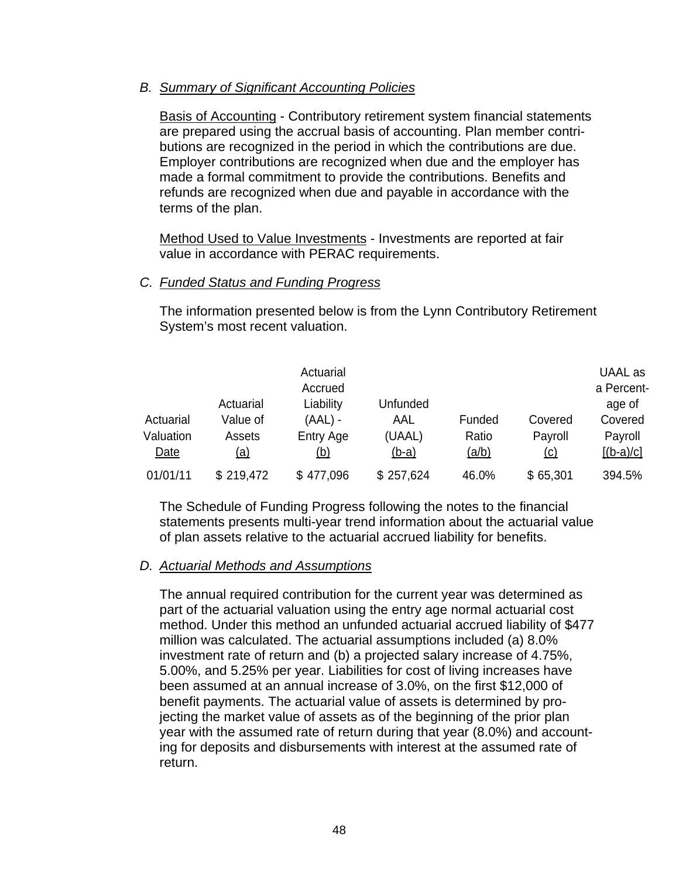#### *B. Summary of Significant Accounting Policies*

Basis of Accounting - Contributory retirement system financial statements are prepared using the accrual basis of accounting. Plan member contributions are recognized in the period in which the contributions are due. Employer contributions are recognized when due and the employer has made a formal commitment to provide the contributions. Benefits and refunds are recognized when due and payable in accordance with the terms of the plan.

Method Used to Value Investments - Investments are reported at fair value in accordance with PERAC requirements.

#### *C. Funded Status and Funding Progress*

The information presented below is from the Lynn Contributory Retirement System's most recent valuation.

| Actuarial<br>Valuation<br>Date | Actuarial<br>Value of<br>Assets<br><u>(a)</u> | Actuarial<br>Accrued<br>Liability<br>$(AAL)$ -<br>Entry Age<br><u>(b)</u> | Unfunded<br>AAL<br>(UAAL)<br>$(b-a)$ | Funded<br>Ratio<br><u>(a/b)</u> | Covered<br>Payroll<br><u>(c)</u> | UAAL as<br>a Percent-<br>age of<br>Covered<br>Payroll<br>$[(b-a)/c]$ |
|--------------------------------|-----------------------------------------------|---------------------------------------------------------------------------|--------------------------------------|---------------------------------|----------------------------------|----------------------------------------------------------------------|
| 01/01/11                       | \$219,472                                     | \$477,096                                                                 | \$257,624                            | 46.0%                           | \$65,301                         | 394.5%                                                               |

The Schedule of Funding Progress following the notes to the financial statements presents multi-year trend information about the actuarial value of plan assets relative to the actuarial accrued liability for benefits.

### *D. Actuarial Methods and Assumptions*

The annual required contribution for the current year was determined as part of the actuarial valuation using the entry age normal actuarial cost method. Under this method an unfunded actuarial accrued liability of \$477 million was calculated. The actuarial assumptions included (a) 8.0% investment rate of return and (b) a projected salary increase of 4.75%, 5.00%, and 5.25% per year. Liabilities for cost of living increases have been assumed at an annual increase of 3.0%, on the first \$12,000 of benefit payments. The actuarial value of assets is determined by projecting the market value of assets as of the beginning of the prior plan year with the assumed rate of return during that year (8.0%) and accounting for deposits and disbursements with interest at the assumed rate of return.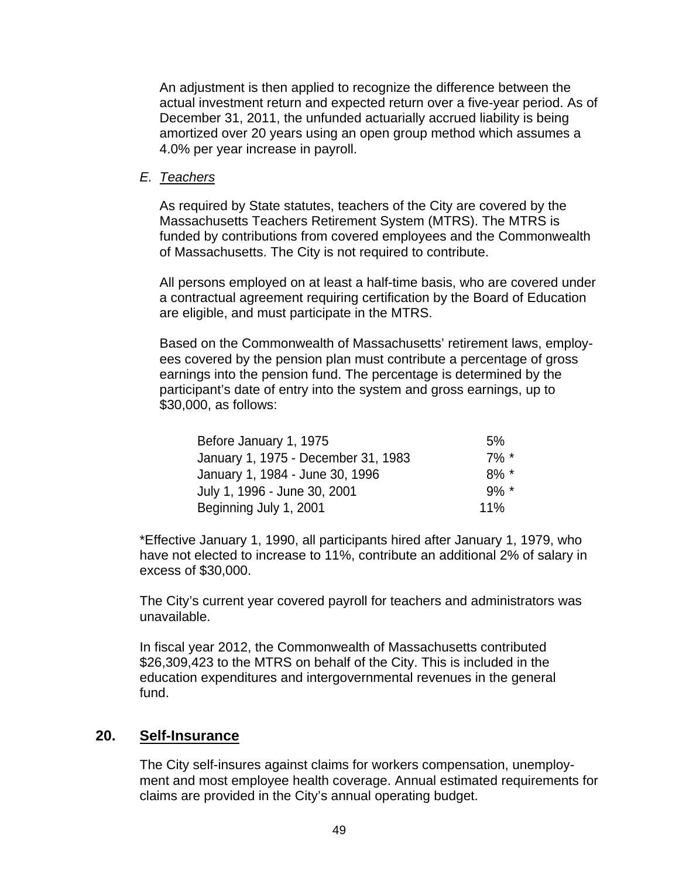An adjustment is then applied to recognize the difference between the actual investment return and expected return over a five-year period. As of December 31, 2011, the unfunded actuarially accrued liability is being amortized over 20 years using an open group method which assumes a 4.0% per year increase in payroll.

### *E. Teachers*

As required by State statutes, teachers of the City are covered by the Massachusetts Teachers Retirement System (MTRS). The MTRS is funded by contributions from covered employees and the Commonwealth of Massachusetts. The City is not required to contribute.

All persons employed on at least a half-time basis, who are covered under a contractual agreement requiring certification by the Board of Education are eligible, and must participate in the MTRS.

Based on the Commonwealth of Massachusetts' retirement laws, employees covered by the pension plan must contribute a percentage of gross earnings into the pension fund. The percentage is determined by the participant's date of entry into the system and gross earnings, up to \$30,000, as follows:

| Before January 1, 1975              | 5%       |
|-------------------------------------|----------|
| January 1, 1975 - December 31, 1983 | $7\%$ *  |
| January 1, 1984 - June 30, 1996     | $8\%$ *  |
| July 1, 1996 - June 30, 2001        | $.9\%$ * |
| Beginning July 1, 2001              | 11%      |

\*Effective January 1, 1990, all participants hired after January 1, 1979, who have not elected to increase to 11%, contribute an additional 2% of salary in excess of \$30,000.

The City's current year covered payroll for teachers and administrators was unavailable.

In fiscal year 2012, the Commonwealth of Massachusetts contributed \$26,309,423 to the MTRS on behalf of the City. This is included in the education expenditures and intergovernmental revenues in the general fund.

# **20. Self-Insurance**

The City self-insures against claims for workers compensation, unemployment and most employee health coverage. Annual estimated requirements for claims are provided in the City's annual operating budget.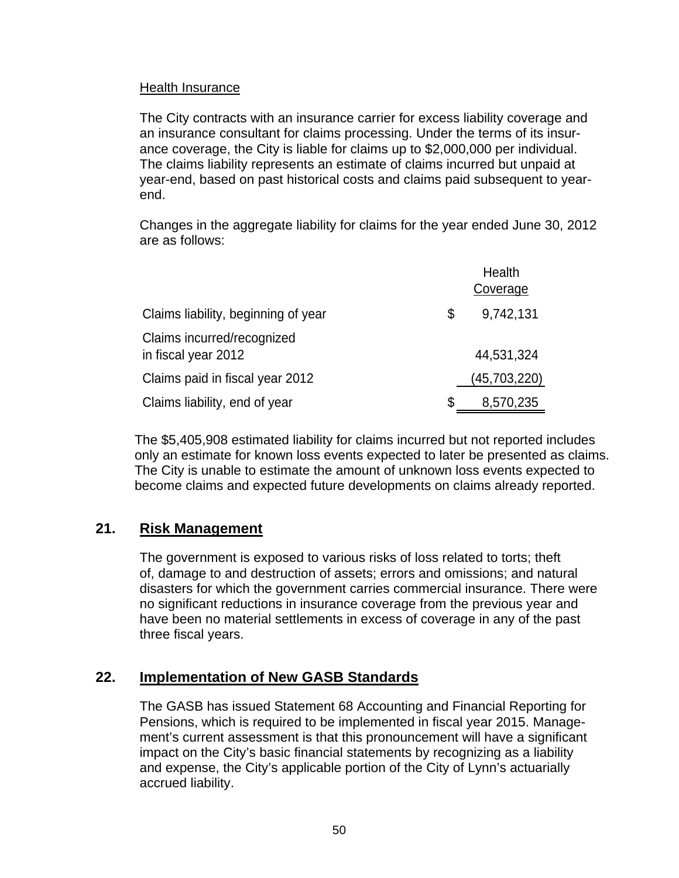### Health Insurance

The City contracts with an insurance carrier for excess liability coverage and an insurance consultant for claims processing. Under the terms of its insurance coverage, the City is liable for claims up to \$2,000,000 per individual. The claims liability represents an estimate of claims incurred but unpaid at year-end, based on past historical costs and claims paid subsequent to yearend.

Changes in the aggregate liability for claims for the year ended June 30, 2012 are as follows:

|                                                   |   | Health<br>Coverage |
|---------------------------------------------------|---|--------------------|
| Claims liability, beginning of year               | S | 9,742,131          |
| Claims incurred/recognized<br>in fiscal year 2012 |   | 44,531,324         |
| Claims paid in fiscal year 2012                   |   | (45,703,220)       |
| Claims liability, end of year                     |   | 8,570,235          |

The \$5,405,908 estimated liability for claims incurred but not reported includes only an estimate for known loss events expected to later be presented as claims. The City is unable to estimate the amount of unknown loss events expected to become claims and expected future developments on claims already reported.

# **21. Risk Management**

The government is exposed to various risks of loss related to torts; theft of, damage to and destruction of assets; errors and omissions; and natural disasters for which the government carries commercial insurance. There were no significant reductions in insurance coverage from the previous year and have been no material settlements in excess of coverage in any of the past three fiscal years.

# **22. Implementation of New GASB Standards**

The GASB has issued Statement 68 Accounting and Financial Reporting for Pensions, which is required to be implemented in fiscal year 2015. Management's current assessment is that this pronouncement will have a significant impact on the City's basic financial statements by recognizing as a liability and expense, the City's applicable portion of the City of Lynn's actuarially accrued liability.